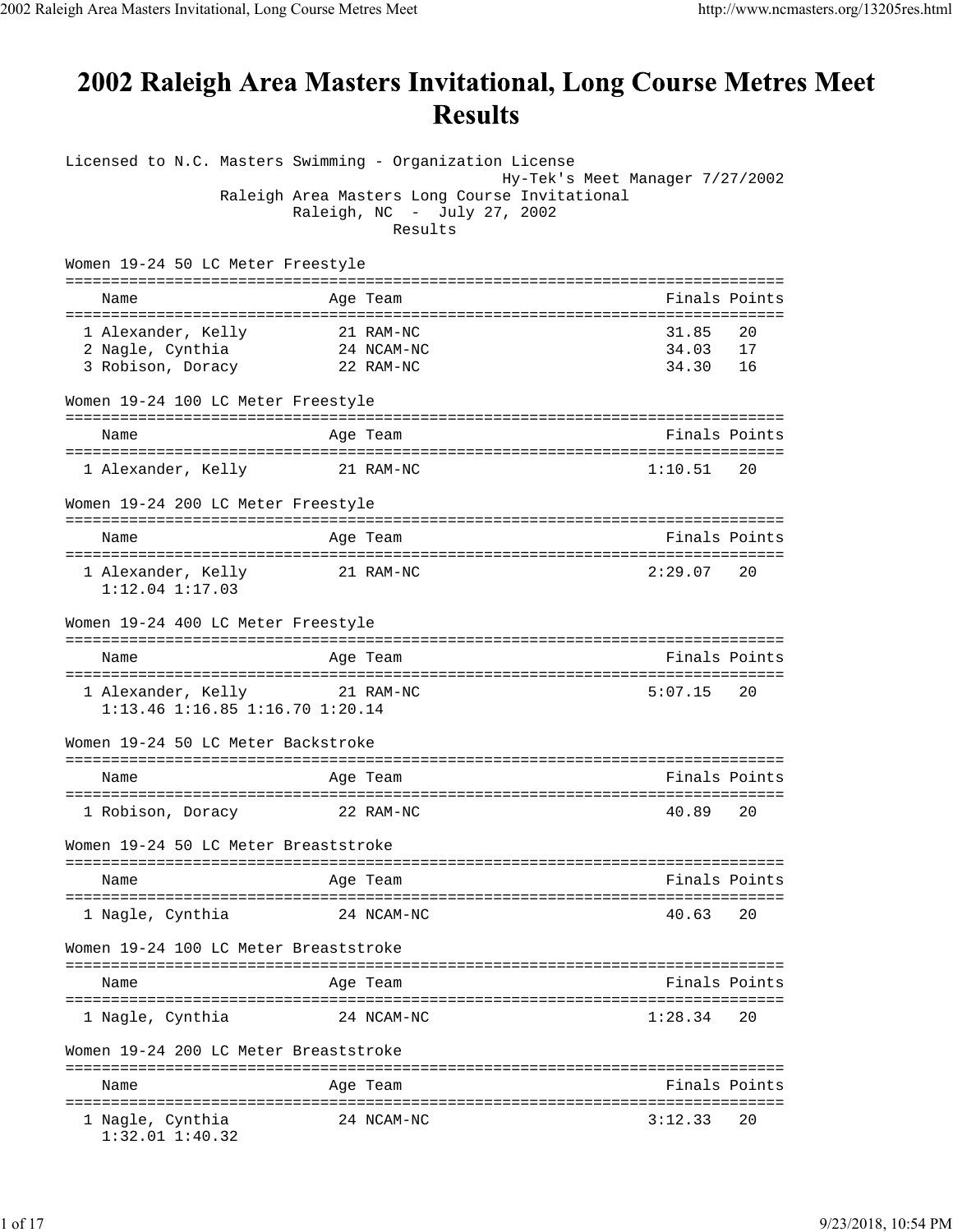## 2002 Raleigh Area Masters Invitational, Long Course Metres Meet **Results**

| Hy-Tek's Meet Manager 7/27/2002<br>Raleigh Area Masters Long Course Invitational<br>Raleigh, NC - July 27, 2002<br>Results<br>Women 19-24 50 LC Meter Freestyle<br>Finals Points<br>Age Team<br>Name<br>1 Alexander, Kelly<br>31.85<br>20<br>21 RAM-NC<br>$24$ NCAM-NC<br>2 Nagle, Cynthia<br>34.03<br>17<br>3 Robison, Doracy<br>34.30<br>16<br>22 RAM-NC<br>Women 19-24 100 LC Meter Freestyle<br>Finals Points<br>Age Team<br>Name<br>1 Alexander, Kelly 21 RAM-NC<br>1:10.51<br>20<br>Women 19-24 200 LC Meter Freestyle<br>Finals Points<br>Name<br>Age Team<br>21 RAM-NC<br>1 Alexander, Kelly<br>2:29.07<br>20<br>$1:12.04$ $1:17.03$<br>Women 19-24 400 LC Meter Freestyle<br>Finals Points<br>Age Team<br>Name<br>1 Alexander, Kelly 21 RAM-NC<br>5:07.15<br>20<br>$1:13.46$ $1:16.85$ $1:16.70$ $1:20.14$<br>Women 19-24 50 LC Meter Backstroke<br>Finals Points<br>Name<br>Age Team<br>1 Robison, Doracy 22 RAM-NC<br>40.89<br>20<br>Women 19-24 50 LC Meter Breaststroke<br>Finals Points<br>Name<br>Age Team<br>====================<br>=============<br>1 Nagle, Cynthia<br>40.63<br>20<br>24 NCAM-NC<br>Women 19-24 100 LC Meter Breaststroke<br>Finals Points<br>Age Team<br>Name<br>1:28.34<br>1 Nagle, Cynthia<br>24 NCAM-NC<br>20<br>Women 19-24 200 LC Meter Breaststroke<br>Finals Points<br>Name<br>Age Team<br>1 Nagle, Cynthia<br>24 NCAM-NC<br>3:12.33<br>20 | Licensed to N.C. Masters Swimming - Organization License |  |  |
|---------------------------------------------------------------------------------------------------------------------------------------------------------------------------------------------------------------------------------------------------------------------------------------------------------------------------------------------------------------------------------------------------------------------------------------------------------------------------------------------------------------------------------------------------------------------------------------------------------------------------------------------------------------------------------------------------------------------------------------------------------------------------------------------------------------------------------------------------------------------------------------------------------------------------------------------------------------------------------------------------------------------------------------------------------------------------------------------------------------------------------------------------------------------------------------------------------------------------------------------------------------------------------------------------------------------------------------------------------------------------------------|----------------------------------------------------------|--|--|
|                                                                                                                                                                                                                                                                                                                                                                                                                                                                                                                                                                                                                                                                                                                                                                                                                                                                                                                                                                                                                                                                                                                                                                                                                                                                                                                                                                                       |                                                          |  |  |
|                                                                                                                                                                                                                                                                                                                                                                                                                                                                                                                                                                                                                                                                                                                                                                                                                                                                                                                                                                                                                                                                                                                                                                                                                                                                                                                                                                                       |                                                          |  |  |
|                                                                                                                                                                                                                                                                                                                                                                                                                                                                                                                                                                                                                                                                                                                                                                                                                                                                                                                                                                                                                                                                                                                                                                                                                                                                                                                                                                                       |                                                          |  |  |
|                                                                                                                                                                                                                                                                                                                                                                                                                                                                                                                                                                                                                                                                                                                                                                                                                                                                                                                                                                                                                                                                                                                                                                                                                                                                                                                                                                                       |                                                          |  |  |
|                                                                                                                                                                                                                                                                                                                                                                                                                                                                                                                                                                                                                                                                                                                                                                                                                                                                                                                                                                                                                                                                                                                                                                                                                                                                                                                                                                                       |                                                          |  |  |
|                                                                                                                                                                                                                                                                                                                                                                                                                                                                                                                                                                                                                                                                                                                                                                                                                                                                                                                                                                                                                                                                                                                                                                                                                                                                                                                                                                                       |                                                          |  |  |
|                                                                                                                                                                                                                                                                                                                                                                                                                                                                                                                                                                                                                                                                                                                                                                                                                                                                                                                                                                                                                                                                                                                                                                                                                                                                                                                                                                                       |                                                          |  |  |
|                                                                                                                                                                                                                                                                                                                                                                                                                                                                                                                                                                                                                                                                                                                                                                                                                                                                                                                                                                                                                                                                                                                                                                                                                                                                                                                                                                                       |                                                          |  |  |
|                                                                                                                                                                                                                                                                                                                                                                                                                                                                                                                                                                                                                                                                                                                                                                                                                                                                                                                                                                                                                                                                                                                                                                                                                                                                                                                                                                                       |                                                          |  |  |
|                                                                                                                                                                                                                                                                                                                                                                                                                                                                                                                                                                                                                                                                                                                                                                                                                                                                                                                                                                                                                                                                                                                                                                                                                                                                                                                                                                                       |                                                          |  |  |
|                                                                                                                                                                                                                                                                                                                                                                                                                                                                                                                                                                                                                                                                                                                                                                                                                                                                                                                                                                                                                                                                                                                                                                                                                                                                                                                                                                                       |                                                          |  |  |
|                                                                                                                                                                                                                                                                                                                                                                                                                                                                                                                                                                                                                                                                                                                                                                                                                                                                                                                                                                                                                                                                                                                                                                                                                                                                                                                                                                                       |                                                          |  |  |
|                                                                                                                                                                                                                                                                                                                                                                                                                                                                                                                                                                                                                                                                                                                                                                                                                                                                                                                                                                                                                                                                                                                                                                                                                                                                                                                                                                                       |                                                          |  |  |
|                                                                                                                                                                                                                                                                                                                                                                                                                                                                                                                                                                                                                                                                                                                                                                                                                                                                                                                                                                                                                                                                                                                                                                                                                                                                                                                                                                                       |                                                          |  |  |
|                                                                                                                                                                                                                                                                                                                                                                                                                                                                                                                                                                                                                                                                                                                                                                                                                                                                                                                                                                                                                                                                                                                                                                                                                                                                                                                                                                                       |                                                          |  |  |
|                                                                                                                                                                                                                                                                                                                                                                                                                                                                                                                                                                                                                                                                                                                                                                                                                                                                                                                                                                                                                                                                                                                                                                                                                                                                                                                                                                                       |                                                          |  |  |
|                                                                                                                                                                                                                                                                                                                                                                                                                                                                                                                                                                                                                                                                                                                                                                                                                                                                                                                                                                                                                                                                                                                                                                                                                                                                                                                                                                                       |                                                          |  |  |
|                                                                                                                                                                                                                                                                                                                                                                                                                                                                                                                                                                                                                                                                                                                                                                                                                                                                                                                                                                                                                                                                                                                                                                                                                                                                                                                                                                                       |                                                          |  |  |
|                                                                                                                                                                                                                                                                                                                                                                                                                                                                                                                                                                                                                                                                                                                                                                                                                                                                                                                                                                                                                                                                                                                                                                                                                                                                                                                                                                                       |                                                          |  |  |
|                                                                                                                                                                                                                                                                                                                                                                                                                                                                                                                                                                                                                                                                                                                                                                                                                                                                                                                                                                                                                                                                                                                                                                                                                                                                                                                                                                                       |                                                          |  |  |
|                                                                                                                                                                                                                                                                                                                                                                                                                                                                                                                                                                                                                                                                                                                                                                                                                                                                                                                                                                                                                                                                                                                                                                                                                                                                                                                                                                                       |                                                          |  |  |
|                                                                                                                                                                                                                                                                                                                                                                                                                                                                                                                                                                                                                                                                                                                                                                                                                                                                                                                                                                                                                                                                                                                                                                                                                                                                                                                                                                                       |                                                          |  |  |
|                                                                                                                                                                                                                                                                                                                                                                                                                                                                                                                                                                                                                                                                                                                                                                                                                                                                                                                                                                                                                                                                                                                                                                                                                                                                                                                                                                                       |                                                          |  |  |
|                                                                                                                                                                                                                                                                                                                                                                                                                                                                                                                                                                                                                                                                                                                                                                                                                                                                                                                                                                                                                                                                                                                                                                                                                                                                                                                                                                                       |                                                          |  |  |
|                                                                                                                                                                                                                                                                                                                                                                                                                                                                                                                                                                                                                                                                                                                                                                                                                                                                                                                                                                                                                                                                                                                                                                                                                                                                                                                                                                                       |                                                          |  |  |
|                                                                                                                                                                                                                                                                                                                                                                                                                                                                                                                                                                                                                                                                                                                                                                                                                                                                                                                                                                                                                                                                                                                                                                                                                                                                                                                                                                                       |                                                          |  |  |
|                                                                                                                                                                                                                                                                                                                                                                                                                                                                                                                                                                                                                                                                                                                                                                                                                                                                                                                                                                                                                                                                                                                                                                                                                                                                                                                                                                                       |                                                          |  |  |
|                                                                                                                                                                                                                                                                                                                                                                                                                                                                                                                                                                                                                                                                                                                                                                                                                                                                                                                                                                                                                                                                                                                                                                                                                                                                                                                                                                                       |                                                          |  |  |
|                                                                                                                                                                                                                                                                                                                                                                                                                                                                                                                                                                                                                                                                                                                                                                                                                                                                                                                                                                                                                                                                                                                                                                                                                                                                                                                                                                                       |                                                          |  |  |
|                                                                                                                                                                                                                                                                                                                                                                                                                                                                                                                                                                                                                                                                                                                                                                                                                                                                                                                                                                                                                                                                                                                                                                                                                                                                                                                                                                                       |                                                          |  |  |
|                                                                                                                                                                                                                                                                                                                                                                                                                                                                                                                                                                                                                                                                                                                                                                                                                                                                                                                                                                                                                                                                                                                                                                                                                                                                                                                                                                                       |                                                          |  |  |
|                                                                                                                                                                                                                                                                                                                                                                                                                                                                                                                                                                                                                                                                                                                                                                                                                                                                                                                                                                                                                                                                                                                                                                                                                                                                                                                                                                                       |                                                          |  |  |
|                                                                                                                                                                                                                                                                                                                                                                                                                                                                                                                                                                                                                                                                                                                                                                                                                                                                                                                                                                                                                                                                                                                                                                                                                                                                                                                                                                                       |                                                          |  |  |
|                                                                                                                                                                                                                                                                                                                                                                                                                                                                                                                                                                                                                                                                                                                                                                                                                                                                                                                                                                                                                                                                                                                                                                                                                                                                                                                                                                                       |                                                          |  |  |
|                                                                                                                                                                                                                                                                                                                                                                                                                                                                                                                                                                                                                                                                                                                                                                                                                                                                                                                                                                                                                                                                                                                                                                                                                                                                                                                                                                                       |                                                          |  |  |
|                                                                                                                                                                                                                                                                                                                                                                                                                                                                                                                                                                                                                                                                                                                                                                                                                                                                                                                                                                                                                                                                                                                                                                                                                                                                                                                                                                                       |                                                          |  |  |
|                                                                                                                                                                                                                                                                                                                                                                                                                                                                                                                                                                                                                                                                                                                                                                                                                                                                                                                                                                                                                                                                                                                                                                                                                                                                                                                                                                                       |                                                          |  |  |
|                                                                                                                                                                                                                                                                                                                                                                                                                                                                                                                                                                                                                                                                                                                                                                                                                                                                                                                                                                                                                                                                                                                                                                                                                                                                                                                                                                                       |                                                          |  |  |
|                                                                                                                                                                                                                                                                                                                                                                                                                                                                                                                                                                                                                                                                                                                                                                                                                                                                                                                                                                                                                                                                                                                                                                                                                                                                                                                                                                                       |                                                          |  |  |
|                                                                                                                                                                                                                                                                                                                                                                                                                                                                                                                                                                                                                                                                                                                                                                                                                                                                                                                                                                                                                                                                                                                                                                                                                                                                                                                                                                                       |                                                          |  |  |
|                                                                                                                                                                                                                                                                                                                                                                                                                                                                                                                                                                                                                                                                                                                                                                                                                                                                                                                                                                                                                                                                                                                                                                                                                                                                                                                                                                                       |                                                          |  |  |
|                                                                                                                                                                                                                                                                                                                                                                                                                                                                                                                                                                                                                                                                                                                                                                                                                                                                                                                                                                                                                                                                                                                                                                                                                                                                                                                                                                                       |                                                          |  |  |
|                                                                                                                                                                                                                                                                                                                                                                                                                                                                                                                                                                                                                                                                                                                                                                                                                                                                                                                                                                                                                                                                                                                                                                                                                                                                                                                                                                                       |                                                          |  |  |
|                                                                                                                                                                                                                                                                                                                                                                                                                                                                                                                                                                                                                                                                                                                                                                                                                                                                                                                                                                                                                                                                                                                                                                                                                                                                                                                                                                                       |                                                          |  |  |
|                                                                                                                                                                                                                                                                                                                                                                                                                                                                                                                                                                                                                                                                                                                                                                                                                                                                                                                                                                                                                                                                                                                                                                                                                                                                                                                                                                                       |                                                          |  |  |
|                                                                                                                                                                                                                                                                                                                                                                                                                                                                                                                                                                                                                                                                                                                                                                                                                                                                                                                                                                                                                                                                                                                                                                                                                                                                                                                                                                                       |                                                          |  |  |
|                                                                                                                                                                                                                                                                                                                                                                                                                                                                                                                                                                                                                                                                                                                                                                                                                                                                                                                                                                                                                                                                                                                                                                                                                                                                                                                                                                                       |                                                          |  |  |
|                                                                                                                                                                                                                                                                                                                                                                                                                                                                                                                                                                                                                                                                                                                                                                                                                                                                                                                                                                                                                                                                                                                                                                                                                                                                                                                                                                                       |                                                          |  |  |
|                                                                                                                                                                                                                                                                                                                                                                                                                                                                                                                                                                                                                                                                                                                                                                                                                                                                                                                                                                                                                                                                                                                                                                                                                                                                                                                                                                                       |                                                          |  |  |
|                                                                                                                                                                                                                                                                                                                                                                                                                                                                                                                                                                                                                                                                                                                                                                                                                                                                                                                                                                                                                                                                                                                                                                                                                                                                                                                                                                                       |                                                          |  |  |
|                                                                                                                                                                                                                                                                                                                                                                                                                                                                                                                                                                                                                                                                                                                                                                                                                                                                                                                                                                                                                                                                                                                                                                                                                                                                                                                                                                                       | $1:32.01$ $1:40.32$                                      |  |  |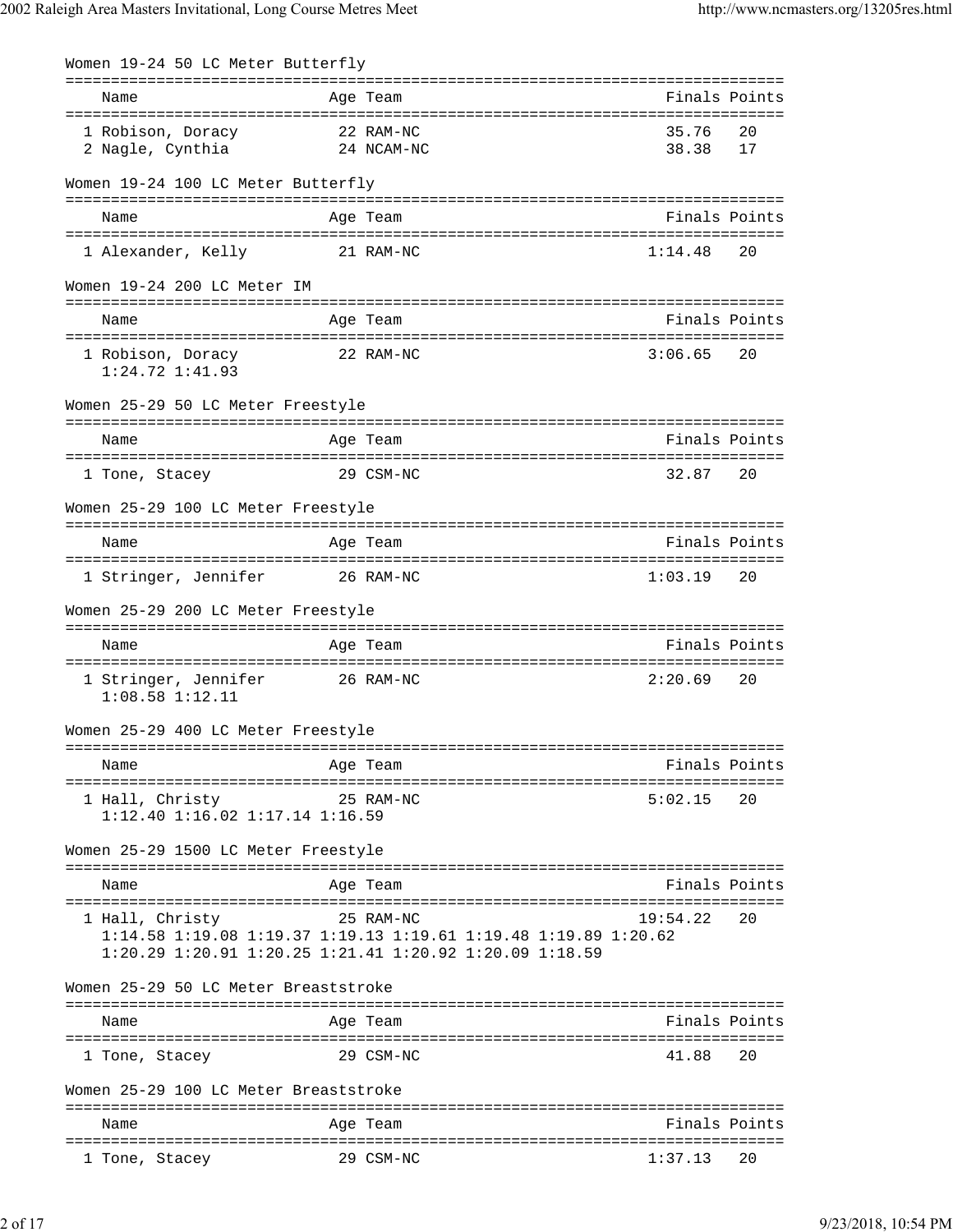| Women 19-24 50 LC Meter Butterfly                  |                                                                                                                                                       |                          |               |
|----------------------------------------------------|-------------------------------------------------------------------------------------------------------------------------------------------------------|--------------------------|---------------|
| Name                                               | Age Team                                                                                                                                              | ======================== | Finals Points |
| 1 Robison, Doracy<br>2 Nagle, Cynthia              | 22 RAM-NC<br>24 NCAM-NC                                                                                                                               | 35.76<br>38.38           | 20<br>17      |
| Women 19-24 100 LC Meter Butterfly                 |                                                                                                                                                       |                          |               |
| Name                                               | Age Team                                                                                                                                              |                          | Finals Points |
| 1 Alexander, Kelly                                 | 21 RAM-NC                                                                                                                                             | 1:14.48                  | 20            |
| Women 19-24 200 LC Meter IM                        |                                                                                                                                                       |                          |               |
| Name                                               | Age Team                                                                                                                                              | Finals Points            |               |
| 1 Robison, Doracy<br>$1:24.72$ $1:41.93$           | 22 RAM-NC                                                                                                                                             | 3:06.65                  | 20            |
| Women 25-29 50 LC Meter Freestyle                  |                                                                                                                                                       |                          |               |
| Name                                               | Age Team                                                                                                                                              | Finals Points            |               |
| 1 Tone, Stacey                                     | 29 CSM-NC                                                                                                                                             | 32.87                    | 20            |
| Women 25-29 100 LC Meter Freestyle                 |                                                                                                                                                       |                          |               |
| Name                                               | Age Team                                                                                                                                              |                          | Finals Points |
| 1 Stringer, Jennifer                               | 26 RAM-NC                                                                                                                                             | 1:03.19                  | 20            |
| Women 25-29 200 LC Meter Freestyle                 |                                                                                                                                                       |                          |               |
| Name                                               | Age Team                                                                                                                                              | Finals Points            |               |
| 1 Stringer, Jennifer<br>$1:08.58$ $1:12.11$        | 26 RAM-NC                                                                                                                                             | 2:20.69                  | 20            |
| Women 25-29 400 LC Meter Freestyle                 |                                                                                                                                                       |                          |               |
| =================================<br>Name          | ===============<br>Age Team                                                                                                                           | Finals Points            |               |
| 1 Hall, Christy<br>1:12.40 1:16.02 1:17.14 1:16.59 | 25 RAM-NC                                                                                                                                             | 5:02.15                  | 20            |
| Women 25-29 1500 LC Meter Freestyle                |                                                                                                                                                       |                          |               |
| Name                                               | Age Team                                                                                                                                              |                          | Finals Points |
| 1 Hall, Christy                                    | 25 RAM-NC<br>1:14.58 1:19.08 1:19.37 1:19.13 1:19.61 1:19.48 1:19.89 1:20.62<br>$1:20.29$ $1:20.91$ $1:20.25$ $1:21.41$ $1:20.92$ $1:20.09$ $1:18.59$ | 19:54.22                 | 20            |
| Women 25-29 50 LC Meter Breaststroke               |                                                                                                                                                       |                          |               |
| Name                                               | Age Team                                                                                                                                              |                          | Finals Points |
| 1 Tone, Stacey                                     | 29 CSM-NC                                                                                                                                             | 41.88                    | 20            |
| Women 25-29 100 LC Meter Breaststroke              |                                                                                                                                                       |                          |               |
| Name                                               | Age Team                                                                                                                                              |                          | Finals Points |
| 1 Tone, Stacey                                     | 29 CSM-NC                                                                                                                                             | 1:37.13                  | 20            |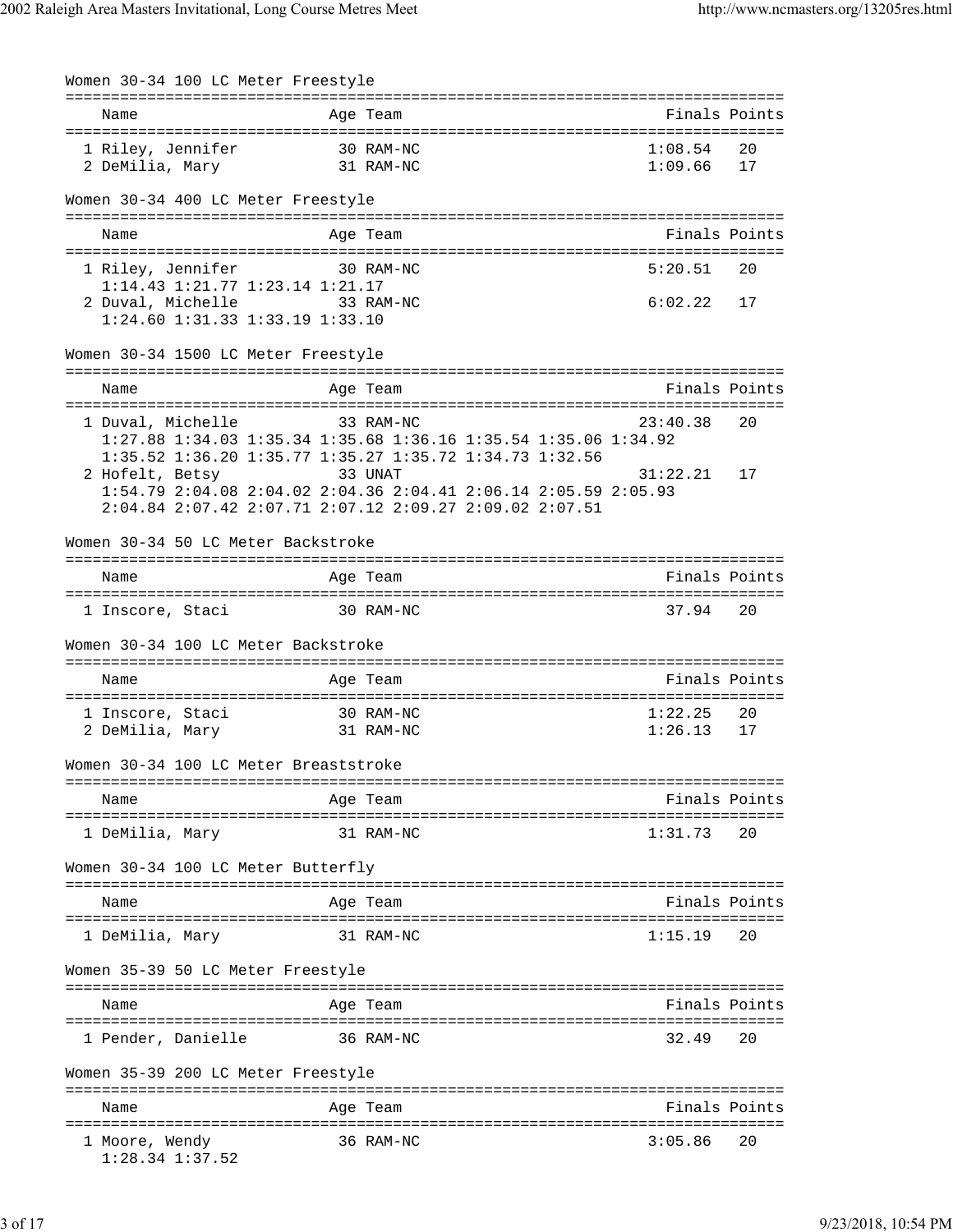| Women 30-34 100 LC Meter Freestyle                             |                                                                                                                                                                                                  |                             |               |
|----------------------------------------------------------------|--------------------------------------------------------------------------------------------------------------------------------------------------------------------------------------------------|-----------------------------|---------------|
| Name                                                           | Age Team                                                                                                                                                                                         | Finals Points               |               |
| 1 Riley, Jennifer<br>2 DeMilia, Mary                           | 30 RAM-NC<br>31 RAM-NC                                                                                                                                                                           | 1:08.54<br>1:09.66          | 20<br>17      |
| Women 30-34 400 LC Meter Freestyle                             |                                                                                                                                                                                                  |                             |               |
| Name                                                           | Age Team                                                                                                                                                                                         |                             | Finals Points |
| 1 Riley, Jennifer<br>1:14.43 1:21.77 1:23.14 1:21.17           | 30 RAM-NC                                                                                                                                                                                        | 5:20.51                     | 20            |
| 2 Duval, Michelle 33 RAM-NC<br>1:24.60 1:31.33 1:33.19 1:33.10 |                                                                                                                                                                                                  | 6:02.22                     | 17            |
| Women 30-34 1500 LC Meter Freestyle                            |                                                                                                                                                                                                  |                             |               |
| Name                                                           | Age Team                                                                                                                                                                                         |                             | Finals Points |
| 1 Duval, Michelle                                              | 33 RAM-NC<br>1:27.88 1:34.03 1:35.34 1:35.68 1:36.16 1:35.54 1:35.06 1:34.92                                                                                                                     | 23:40.38                    | 20            |
| 2 Hofelt, Betsy                                                | 1:35.52 1:36.20 1:35.77 1:35.27 1:35.72 1:34.73 1:32.56<br>33 UNAT<br>1:54.79 2:04.08 2:04.02 2:04.36 2:04.41 2:06.14 2:05.59 2:05.93<br>2:04.84 2:07.42 2:07.71 2:07.12 2:09.27 2:09.02 2:07.51 | 31:22.21                    | 17            |
| Women 30-34 50 LC Meter Backstroke                             |                                                                                                                                                                                                  |                             |               |
| Name                                                           | Age Team                                                                                                                                                                                         |                             | Finals Points |
| 1 Inscore, Staci                                               | 30 RAM-NC                                                                                                                                                                                        | 37.94                       | 20            |
| Women 30-34 100 LC Meter Backstroke                            |                                                                                                                                                                                                  |                             |               |
| Name                                                           | Age Team                                                                                                                                                                                         | Finals Points               |               |
| 30 RAM-NC<br>1 Inscore, Staci<br>2 DeMilia, Mary 31 RAM-NC     |                                                                                                                                                                                                  | 1:22.25<br>1:26.13          | 20<br>17      |
| Women 30-34 100 LC Meter Breaststroke                          |                                                                                                                                                                                                  |                             |               |
| Name                                                           | Age Team<br>--------------------------------                                                                                                                                                     |                             | Finals Points |
| 1 DeMilia, Mary                                                | 31 RAM-NC                                                                                                                                                                                        | 1:31.73                     | 20            |
| Women 30-34 100 LC Meter Butterfly                             |                                                                                                                                                                                                  |                             |               |
| Name                                                           | Age Team                                                                                                                                                                                         |                             | Finals Points |
| l DeMilia, Mary                                                | 31 RAM-NC                                                                                                                                                                                        | 1:15.19                     | 20            |
| Women 35-39 50 LC Meter Freestyle                              |                                                                                                                                                                                                  |                             |               |
| Name                                                           | Age Team                                                                                                                                                                                         | =========================== | Finals Points |
| 1 Pender, Danielle                                             | 36 RAM-NC                                                                                                                                                                                        | ------------<br>32.49       | 20            |
| Women 35-39 200 LC Meter Freestyle                             |                                                                                                                                                                                                  |                             |               |
| Name                                                           | Age Team                                                                                                                                                                                         |                             | Finals Points |
| 1 Moore, Wendy<br>1:28.34 1:37.52                              | 36 RAM-NC                                                                                                                                                                                        | 3:05.86                     | 20            |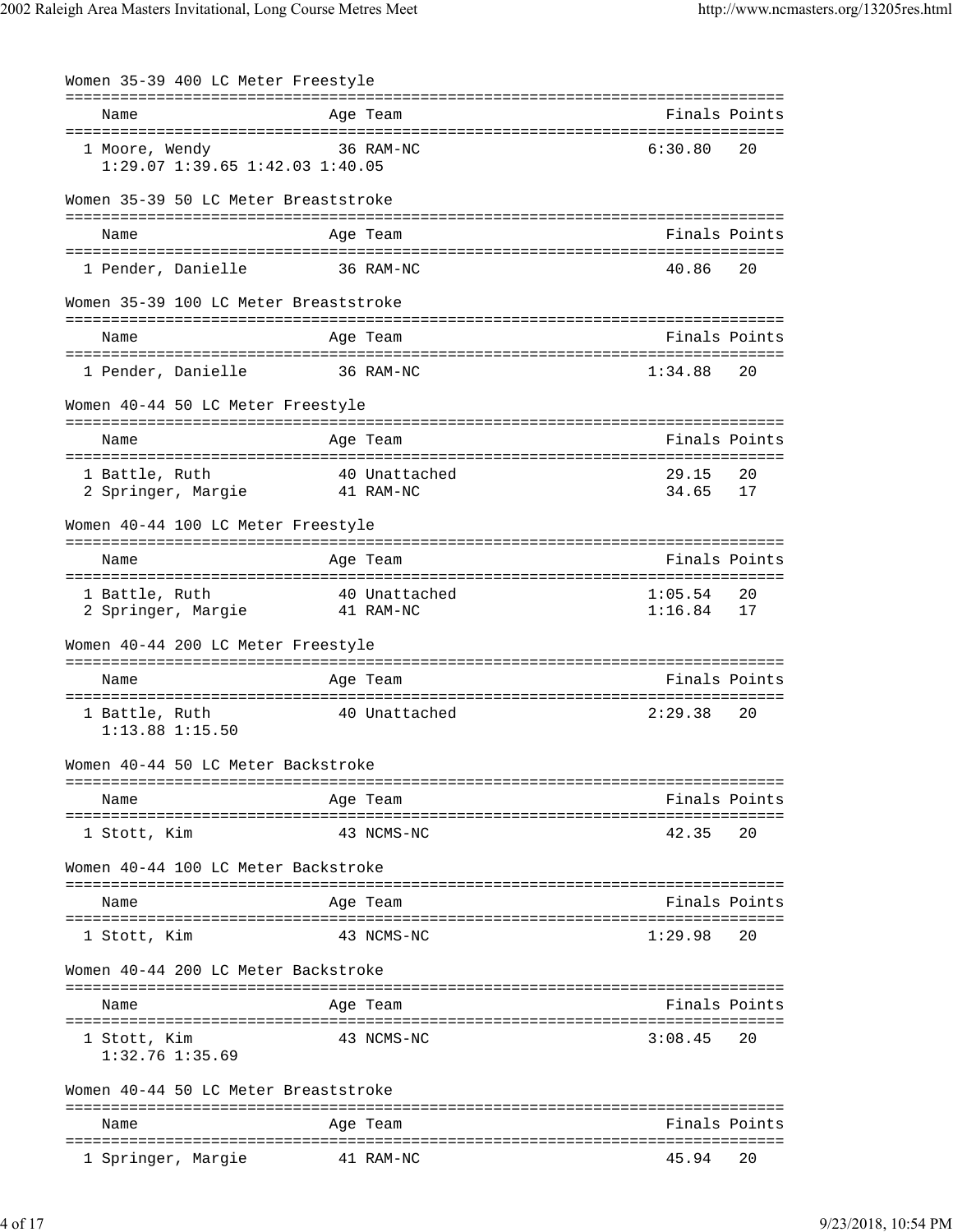| Women 35-39 400 LC Meter Freestyle                |                            |                                                |
|---------------------------------------------------|----------------------------|------------------------------------------------|
| Name                                              | Age Team                   | :============================<br>Finals Points |
| 1 Moore, Wendy<br>1:29.07 1:39.65 1:42.03 1:40.05 | 36 RAM-NC                  | 6:30.80<br>20                                  |
| Women 35-39 50 LC Meter Breaststroke              |                            |                                                |
| Name                                              | Age Team                   | Finals Points                                  |
| 1 Pender, Danielle                                | 36 RAM-NC                  | 40.86<br>20                                    |
| Women 35-39 100 LC Meter Breaststroke             |                            |                                                |
| Name                                              | Age Team                   | Finals Points                                  |
| 1 Pender, Danielle                                | 36 RAM-NC                  | 1:34.88<br>20                                  |
| Women 40-44 50 LC Meter Freestyle                 |                            |                                                |
| Name                                              | Age Team                   | Finals Points                                  |
| 1 Battle, Ruth<br>2 Springer, Margie              | 40 Unattached<br>41 RAM-NC | 29.15<br>20<br>34.65<br>17                     |
| Women 40-44 100 LC Meter Freestyle                |                            |                                                |
| Name                                              | Age Team                   | Finals Points                                  |
| 1 Battle, Ruth<br>2 Springer, Margie              | 40 Unattached<br>41 RAM-NC | 1:05.54<br>20<br>1:16.84<br>17                 |
| Women 40-44 200 LC Meter Freestyle                |                            |                                                |
| Name                                              | Age Team                   | Finals Points                                  |
| 1 Battle, Ruth<br>1:13.88 1:15.50                 | 40 Unattached              | 2:29.38<br>20                                  |
| Women 40-44 50 LC Meter Backstroke                |                            |                                                |
| Name                                              | Age Team                   | Finals Points                                  |
| 1 Stott, Kim                                      | 43 NCMS-NC                 | 42.35<br>20                                    |
| Women 40-44 100 LC Meter Backstroke               |                            |                                                |
| Name                                              | Age Team                   | Finals Points                                  |
| 1 Stott, Kim                                      | 43 NCMS-NC                 | 1:29.98<br>20                                  |
| Women 40-44 200 LC Meter Backstroke               |                            |                                                |
| Name                                              | Age Team                   | Finals Points                                  |
| 1 Stott, Kim<br>$1:32.76$ $1:35.69$               | 43 NCMS-NC                 | 3:08.45<br>20                                  |
| Women 40-44 50 LC Meter Breaststroke              |                            |                                                |
| Name                                              | Age Team                   | Finals Points                                  |
| 1 Springer, Margie                                | 41 RAM-NC                  | 45.94<br>20                                    |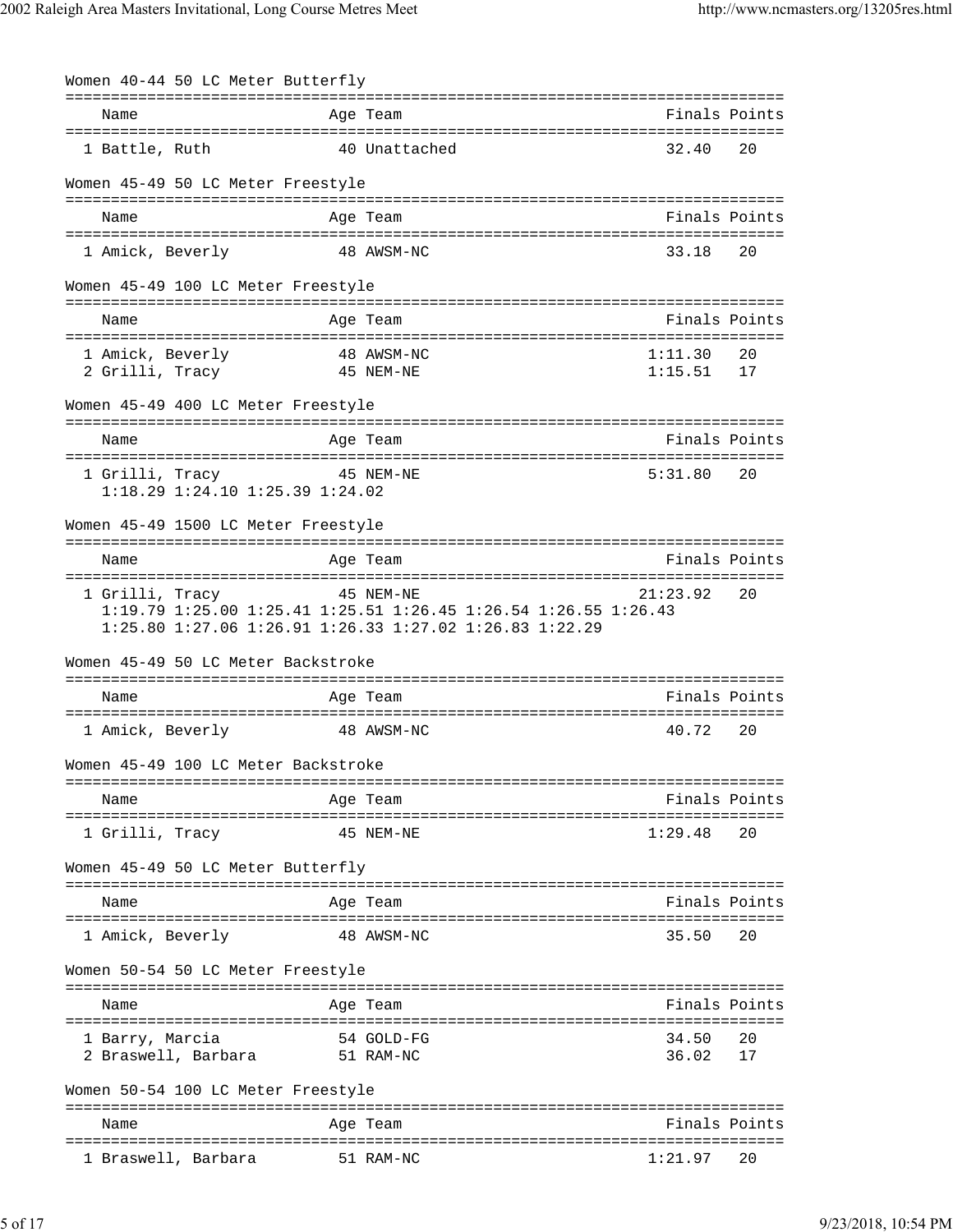| Women 40-44 50 LC Meter Butterfly       |            |                                                                 |               |               |
|-----------------------------------------|------------|-----------------------------------------------------------------|---------------|---------------|
| Name                                    |            | Age Team                                                        | Finals Points |               |
| 1 Battle, Ruth                          |            | 40 Unattached                                                   | 32.40         | 20            |
| Women 45-49 50 LC Meter Freestyle       |            |                                                                 |               |               |
| Name                                    |            | Age Team                                                        | Finals Points |               |
|                                         |            |                                                                 |               |               |
| 1 Amick, Beverly                        |            | 48 AWSM-NC                                                      | 33.18         | 20            |
| Women 45-49 100 LC Meter Freestyle      |            |                                                                 |               |               |
| Name                                    |            | Age Team                                                        | Finals Points |               |
| 1 Amick, Beverly                        | 48 AWSM-NC |                                                                 | 1:11.30       | 20            |
| 2 Grilli, Tracy                         |            | 45 NEM-NE                                                       | 1:15.51       | 17            |
| Women 45-49 400 LC Meter Freestyle      |            |                                                                 |               |               |
| Name                                    |            | Age Team                                                        | Finals Points |               |
| 1 Grilli, Tracy                         |            | 45 NEM-NE                                                       | 5:31.80       | 20            |
| $1:18.29$ $1:24.10$ $1:25.39$ $1:24.02$ |            |                                                                 |               |               |
| Women 45-49 1500 LC Meter Freestyle     |            |                                                                 |               |               |
|                                         |            |                                                                 |               |               |
| Name                                    |            | Aqe Team                                                        | Finals Points |               |
| 1 Grilli, Tracy 5 45 NEM-NE             |            |                                                                 | 21:23.92      | 20            |
|                                         |            | 1:19.79 1:25.00 1:25.41 1:25.51 1:26.45 1:26.54 1:26.55 1:26.43 |               |               |
|                                         |            | 1:25.80 1:27.06 1:26.91 1:26.33 1:27.02 1:26.83 1:22.29         |               |               |
| Women 45-49 50 LC Meter Backstroke      |            |                                                                 |               |               |
| Name                                    |            | Age Team                                                        | Finals Points |               |
| 1 Amick, Beverly                        |            | 48 AWSM-NC                                                      | 40.72         | 20            |
| Women 45-49 100 LC Meter Backstroke     |            |                                                                 |               |               |
| Name                                    |            | Age Team                                                        | Finals Points |               |
|                                         |            |                                                                 |               |               |
| 1 Grilli, Tracy                         |            | 45 NEM-NE                                                       | 1:29.48       | 20            |
| Women 45-49 50 LC Meter Butterfly       |            |                                                                 |               |               |
| Name                                    |            | Age Team                                                        |               | Finals Points |
| 1 Amick, Beverly                        |            | 48 AWSM-NC                                                      | 35.50         | 20            |
| Women 50-54 50 LC Meter Freestyle       |            |                                                                 |               |               |
|                                         |            |                                                                 |               |               |
| Name                                    |            | Age Team                                                        | Finals Points |               |
| 1 Barry, Marcia                         |            | 54 GOLD-FG                                                      | 34.50         | 20            |
| 2 Braswell, Barbara                     |            | 51 RAM-NC                                                       | 36.02         | 17            |
| Women 50-54 100 LC Meter Freestyle      |            |                                                                 |               |               |
| Name                                    |            | Age Team                                                        |               | Finals Points |
|                                         |            |                                                                 |               |               |
| 1 Braswell, Barbara                     |            | 51 RAM-NC                                                       | 1:21.97       | 20            |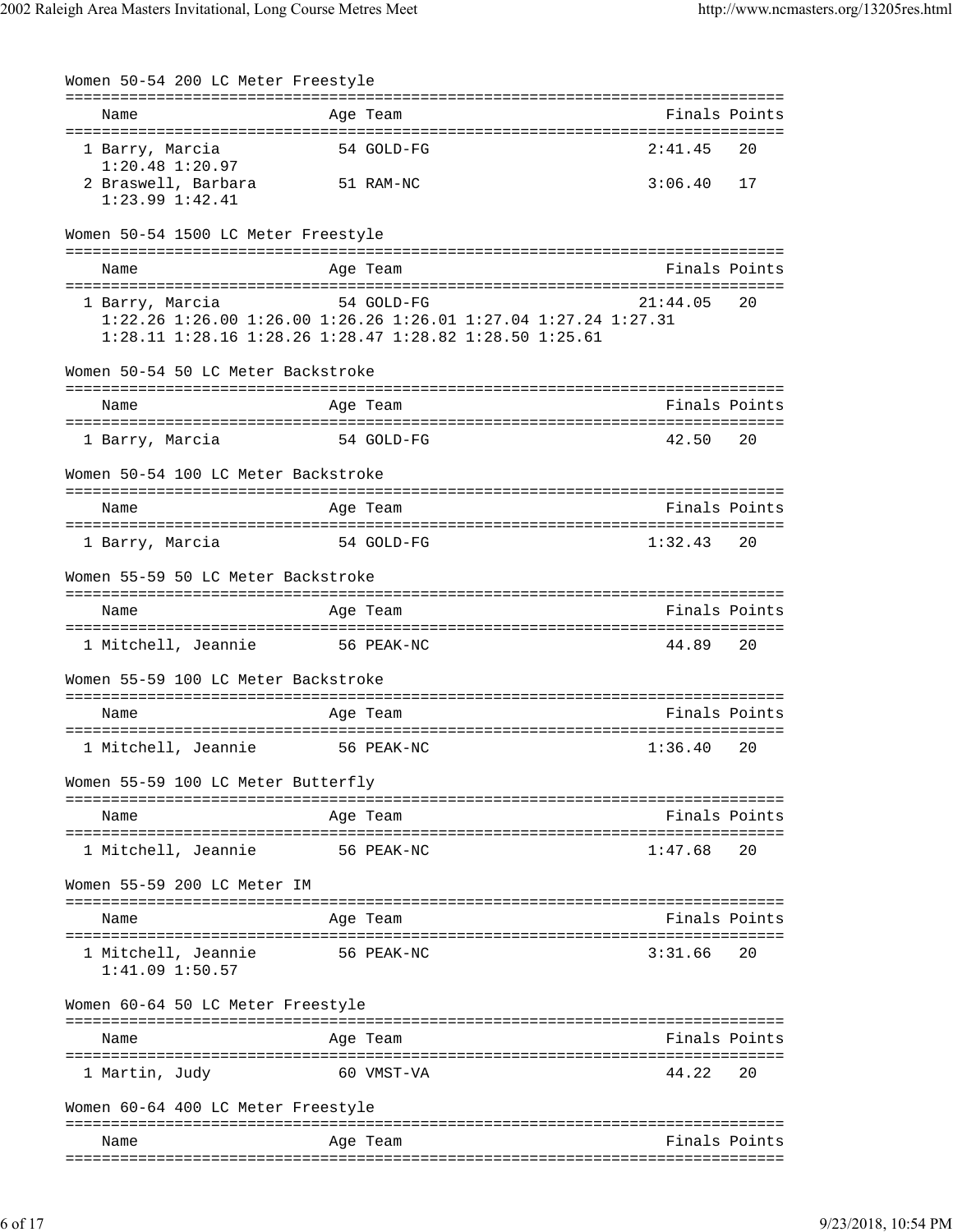| Women 50-54 200 LC Meter Freestyle         |                                                                                                                                          |                                |               |
|--------------------------------------------|------------------------------------------------------------------------------------------------------------------------------------------|--------------------------------|---------------|
| Name                                       | Age Team<br>---------------------------------                                                                                            | ============================== | Finals Points |
| 1 Barry, Marcia<br>1:20.48 1:20.97         | 54 GOLD-FG                                                                                                                               | 2:41.45                        | 20            |
| 2 Braswell, Barbara<br>$1:23.99$ $1:42.41$ | 51 RAM-NC                                                                                                                                | 3:06.40                        | 17            |
| Women 50-54 1500 LC Meter Freestyle        |                                                                                                                                          |                                |               |
| Name                                       | Age Team                                                                                                                                 |                                | Finals Points |
| 1 Barry, Marcia                            | 54 GOLD-FG<br>1:22.26 1:26.00 1:26.00 1:26.26 1:26.01 1:27.04 1:27.24 1:27.31<br>1:28.11 1:28.16 1:28.26 1:28.47 1:28.82 1:28.50 1:25.61 | 21:44.05                       | 20            |
| Women 50-54 50 LC Meter Backstroke         |                                                                                                                                          |                                |               |
| Name                                       | Age Team                                                                                                                                 |                                | Finals Points |
| 1 Barry, Marcia                            | 54 GOLD-FG                                                                                                                               | 42.50                          | 20            |
| Women 50-54 100 LC Meter Backstroke        |                                                                                                                                          |                                |               |
| Name                                       | Age Team                                                                                                                                 |                                | Finals Points |
| 1 Barry, Marcia                            | 54 GOLD-FG                                                                                                                               | 1:32.43                        | 20            |
| Women 55-59 50 LC Meter Backstroke         |                                                                                                                                          |                                |               |
| Name                                       | Age Team                                                                                                                                 |                                | Finals Points |
| 1 Mitchell, Jeannie 56 PEAK-NC             |                                                                                                                                          | 44.89                          | 20            |
| Women 55-59 100 LC Meter Backstroke        |                                                                                                                                          |                                |               |
| Name                                       | Age Team                                                                                                                                 |                                | Finals Points |
| 1 Mitchell, Jeannie                        | 56 PEAK-NC                                                                                                                               | 1:36.40                        | 20            |
| Women 55-59 100 LC Meter Butterfly         |                                                                                                                                          |                                |               |
| Name                                       | Age Team                                                                                                                                 |                                | Finals Points |
| 1 Mitchell, Jeannie                        | 56 PEAK-NC                                                                                                                               | 1:47.68                        | 20            |
| Women 55-59 200 LC Meter IM                |                                                                                                                                          |                                |               |
| Name                                       | Age Team                                                                                                                                 |                                | Finals Points |
| 1 Mitchell, Jeannie<br>$1:41.09$ $1:50.57$ | 56 PEAK-NC                                                                                                                               | 3:31.66                        | 20            |
| Women 60-64 50 LC Meter Freestyle          |                                                                                                                                          |                                |               |
| Name                                       | Age Team                                                                                                                                 |                                | Finals Points |
| 1 Martin, Judy                             | 60 VMST-VA                                                                                                                               | 44.22                          | 20            |
| Women 60-64 400 LC Meter Freestyle         |                                                                                                                                          |                                |               |
| Name                                       | Age Team                                                                                                                                 |                                | Finals Points |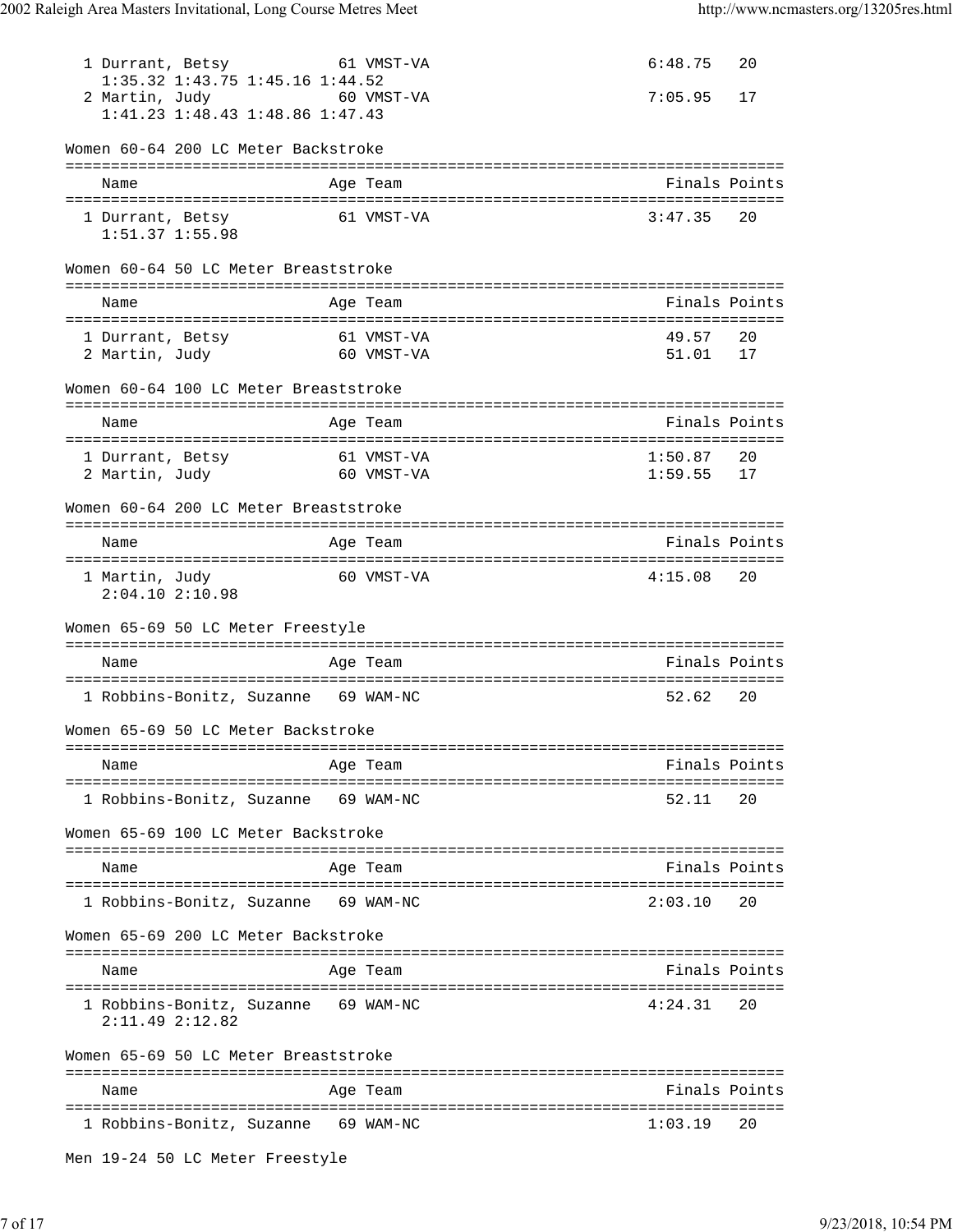| 1 Durrant, Betsy<br>1:35.32 1:43.75 1:45.16 1:44.52<br>60 VMST-VA<br>2 Martin, Judy<br>1:41.23 1:48.43 1:48.86 1:47.43 | 61 VMST-VA | 6:48.75<br>7:05.95 | 20<br>17      |
|------------------------------------------------------------------------------------------------------------------------|------------|--------------------|---------------|
| Women 60-64 200 LC Meter Backstroke                                                                                    |            |                    |               |
| Name                                                                                                                   | Age Team   |                    | Finals Points |
| 1 Durrant, Betsy<br>$1:51.37$ $1:55.98$                                                                                | 61 VMST-VA | 3:47.35            | 20            |
| Women 60-64 50 LC Meter Breaststroke                                                                                   |            |                    |               |
| Name                                                                                                                   | Age Team   |                    | Finals Points |
| 61 VMST-VA<br>1 Durrant, Betsy<br>-<br>60 VMST-VA<br>2 Martin, Judy                                                    |            | 49.57<br>51.01     | 20<br>17      |
| Women 60-64 100 LC Meter Breaststroke                                                                                  |            |                    |               |
| Name                                                                                                                   | Age Team   |                    | Finals Points |
| 1 Durrant, Betsy<br>-<br>60 VMST-VA<br>2 Martin, Judy                                                                  | 61 VMST-VA | 1:50.87<br>1:59.55 | 20<br>17      |
| Women 60-64 200 LC Meter Breaststroke                                                                                  |            |                    |               |
| Name                                                                                                                   | Age Team   |                    | Finals Points |
| 1 Martin, Judy<br>$2:04.10$ $2:10.98$                                                                                  | 60 VMST-VA | 4:15.08            | 20            |
| Women 65-69 50 LC Meter Freestyle                                                                                      |            |                    |               |
| Name                                                                                                                   | Age Team   |                    | Finals Points |
| 1 Robbins-Bonitz, Suzanne 69 WAM-NC                                                                                    |            | 52.62              | 20            |
| Women 65-69 50 LC Meter Backstroke                                                                                     |            |                    |               |
| Name                                                                                                                   | Age Team   |                    | Finals Points |
| 1 Robbins-Bonitz, Suzanne 69 WAM-NC                                                                                    |            | 52.11              | 20            |
| Women 65-69 100 LC Meter Backstroke                                                                                    |            |                    |               |
| Name                                                                                                                   | Age Team   |                    | Finals Points |
|                                                                                                                        |            |                    |               |
| 1 Robbins-Bonitz, Suzanne 69 WAM-NC                                                                                    |            | 2:03.10            | 20            |
| Women 65-69 200 LC Meter Backstroke                                                                                    |            |                    |               |
| Name                                                                                                                   | Age Team   |                    | Finals Points |
| 1 Robbins-Bonitz, Suzanne 69 WAM-NC<br>2:11.492:12.82                                                                  |            | 4:24.31            | 20            |
| Women 65-69 50 LC Meter Breaststroke                                                                                   |            |                    |               |
| Name                                                                                                                   | Age Team   |                    | Finals Points |
| 1 Robbins-Bonitz, Suzanne 69 WAM-NC                                                                                    |            | 1:03.19            | 20            |

```
Men 19-24 50 LC Meter Freestyle
```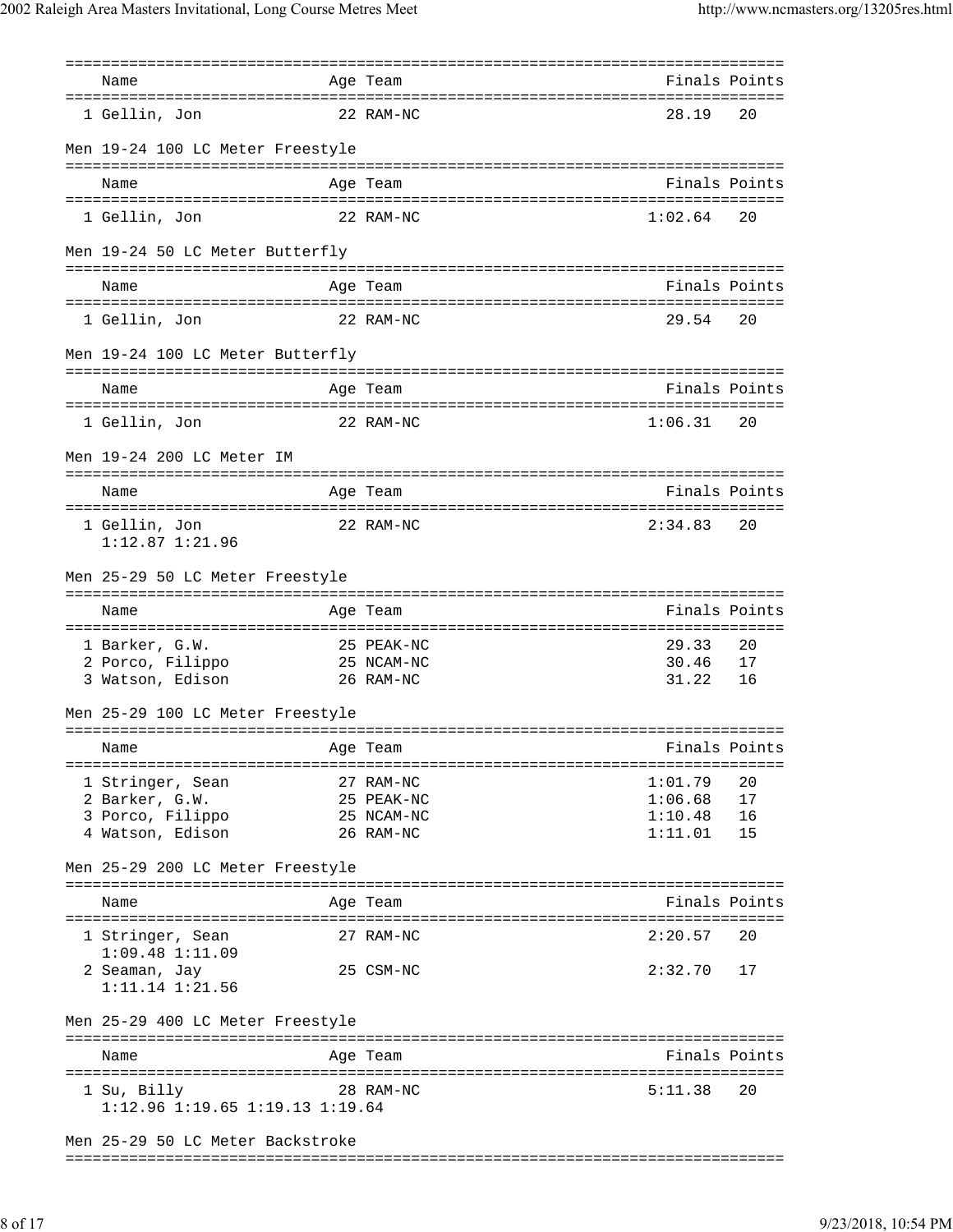| Name                                    | Age Team    |                        | Finals Points |
|-----------------------------------------|-------------|------------------------|---------------|
|                                         |             |                        |               |
| 1 Gellin, Jon                           | 22 RAM-NC   | 28.19                  | 20            |
| Men 19-24 100 LC Meter Freestyle        |             |                        |               |
|                                         |             |                        |               |
| Name                                    | Age Team    |                        | Finals Points |
|                                         |             |                        |               |
| 1 Gellin, Jon                           | 22 RAM-NC   | 1:02.64                | 20            |
| Men 19-24 50 LC Meter Butterfly         |             |                        |               |
|                                         |             |                        |               |
| Name                                    | Age Team    |                        | Finals Points |
|                                         |             |                        |               |
| 1 Gellin, Jon                           | 22 RAM-NC   | 29.54                  | 20            |
| Men 19-24 100 LC Meter Butterfly        |             |                        |               |
|                                         |             |                        |               |
| Name                                    | Age Team    |                        | Finals Points |
| 1 Gellin, Jon                           | 22 RAM-NC   | 1:06.31                | -20           |
|                                         |             |                        |               |
| Men 19-24 200 LC Meter IM               |             |                        |               |
|                                         |             |                        |               |
| Name                                    | Age Team    |                        | Finals Points |
|                                         | 22 RAM-NC   | 2:34.83                | 20            |
| 1 Gellin, Jon<br>$1:12.87$ $1:21.96$    |             |                        |               |
|                                         |             |                        |               |
| Men 25-29 50 LC Meter Freestyle         |             |                        |               |
|                                         |             |                        |               |
|                                         |             |                        |               |
| Name                                    | Age Team    |                        | Finals Points |
|                                         |             |                        |               |
| 1 Barker, G.W.                          | 25 PEAK-NC  | 29.33                  | 20            |
| 2 Porco, Filippo<br>3 Watson, Edison    | 25 NCAM-NC  | 30.46<br>31.22         | 17<br>16      |
|                                         | $26$ RAM-NC |                        |               |
| Men 25-29 100 LC Meter Freestyle        |             |                        |               |
|                                         |             |                        |               |
| Age Team<br>Name                        |             |                        | Finals Points |
|                                         |             |                        |               |
| 1 Stringer, Sean                        | 27 RAM-NC   | 1:01.79                | 20            |
| 2 Barker, G.W.                          | 25 PEAK-NC  |                        | 17            |
| 3 Porco, Filippo                        | 25 NCAM-NC  | $1:06.68$<br>$1:10.48$ | 16            |
| 4 Watson, Edison                        | 26 RAM-NC   | 1:11.01                | 15            |
| Men 25-29 200 LC Meter Freestyle        |             |                        |               |
|                                         |             |                        |               |
| Name                                    | Age Team    |                        | Finals Points |
|                                         |             |                        |               |
| 1 Stringer, Sean<br>$1:09.48$ $1:11.09$ | 27 RAM-NC   | 2:20.57                | 20            |
| 2 Seaman, Jay                           | 25 CSM-NC   | $2:32.70$ 17           |               |
| $1:11.14$ $1:21.56$                     |             |                        |               |
|                                         |             |                        |               |
| Men 25-29 400 LC Meter Freestyle        |             |                        |               |
|                                         |             |                        |               |
| Name                                    | Age Team    |                        | Finals Points |
| 1 Su, Billy                             | 28 RAM-NC   | 5:11.38                | 20            |
| $1:12.96$ $1:19.65$ $1:19.13$ $1:19.64$ |             |                        |               |
| Men 25-29 50 LC Meter Backstroke        |             |                        |               |

===============================================================================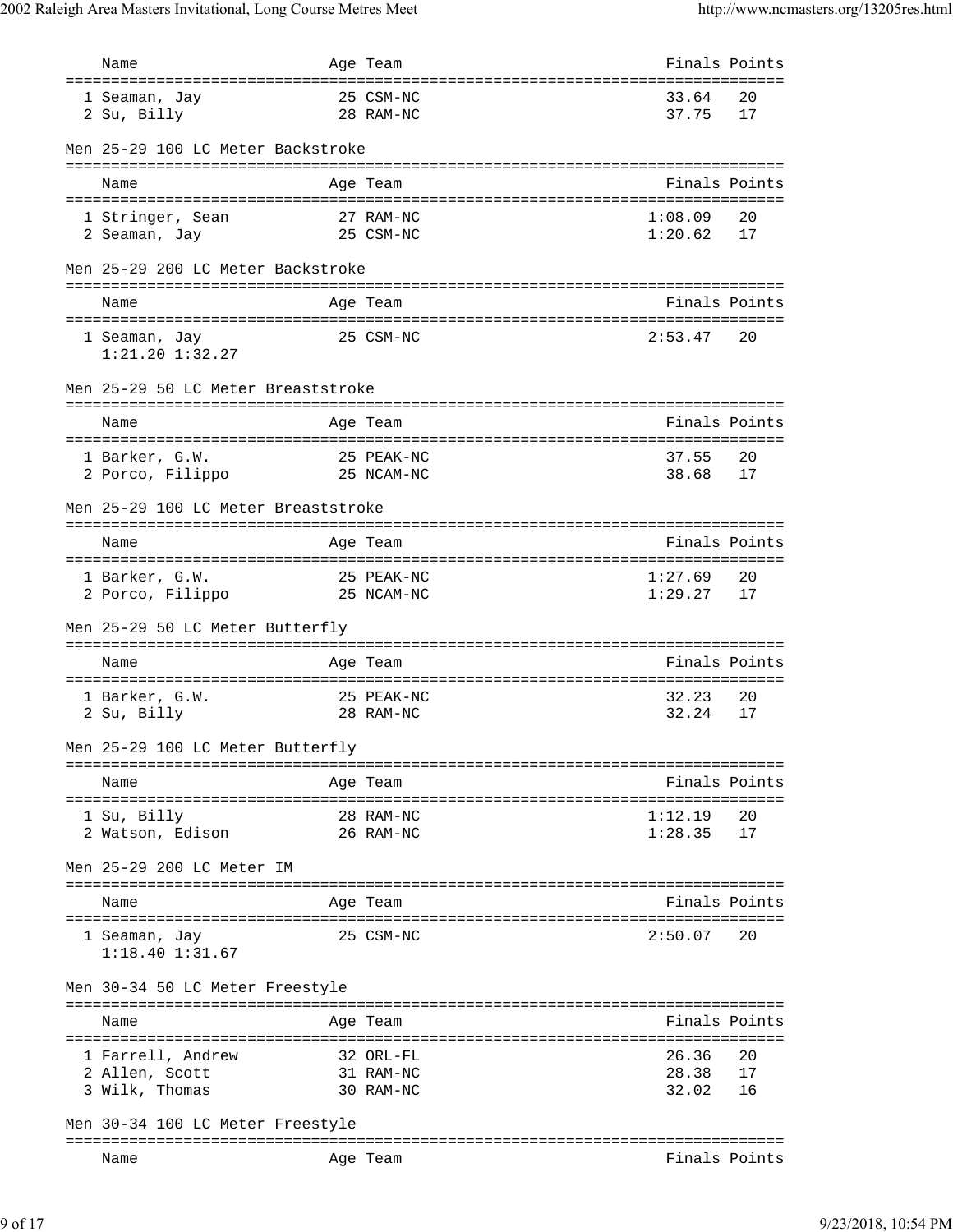| Name                                 | Age Team   |               | Finals Points |
|--------------------------------------|------------|---------------|---------------|
| 1 Seaman, Jay                        | 25 CSM-NC  | 33.64         | 20            |
| 2 Su, Billy                          | 28 RAM-NC  | 37.75         | 17            |
| Men 25-29 100 LC Meter Backstroke    |            |               |               |
| Name                                 | Age Team   |               | Finals Points |
| 1 Stringer, Sean                     | 27 RAM-NC  | 1:08.09       | 20            |
| 2 Seaman, Jay                        | 25 CSM-NC  | 1:20.62       | 17            |
| Men 25-29 200 LC Meter Backstroke    |            |               |               |
| Name                                 | Age Team   |               | Finals Points |
| 1 Seaman, Jay<br>$1:21.20$ $1:32.27$ | 25 CSM-NC  | 2:53.47       | 20            |
| Men 25-29 50 LC Meter Breaststroke   |            |               |               |
| Name                                 | Age Team   |               | Finals Points |
| 1 Barker, G.W.                       | 25 PEAK-NC | 37.55         | 20            |
| 2 Porco, Filippo                     | 25 NCAM-NC | 38.68         | 17            |
| Men 25-29 100 LC Meter Breaststroke  |            |               |               |
|                                      |            |               |               |
| Name                                 | Age Team   |               | Finals Points |
| 1 Barker, G.W.                       | 25 PEAK-NC | 1:27.69       | 20            |
| 2 Porco, Filippo                     | 25 NCAM-NC | 1:29.27       | 17            |
| Men 25-29 50 LC Meter Butterfly      |            |               |               |
| Name                                 | Age Team   |               | Finals Points |
| 1 Barker, G.W.                       | 25 PEAK-NC | 32.23         | 20            |
| 2 Su, Billy                          | 28 RAM-NC  | 32.24         | 17            |
| Men 25-29 100 LC Meter Butterfly     |            |               |               |
| Name                                 | Age Team   |               | Finals Points |
| 1 Su, Billy                          | 28 RAM-NC  | 1:12.19       | 20            |
| 2 Watson, Edison                     | 26 RAM-NC  | 1:28.35       | 17            |
| Men 25-29 200 LC Meter IM            |            |               |               |
| Name                                 | Age Team   |               | Finals Points |
| 1 Seaman, Jay<br>$1:18.40$ $1:31.67$ | 25 CSM-NC  | 2:50.07       | 20            |
| Men 30-34 50 LC Meter Freestyle      |            |               |               |
| Name                                 | Age Team   |               | Finals Points |
| 1 Farrell, Andrew                    | 32 ORL-FL  | 26.36         | 20            |
| 2 Allen, Scott                       | 31 RAM-NC  | 28.38         | 17            |
| 3 Wilk, Thomas                       | 30 RAM-NC  | 32.02         | 16            |
| Men 30-34 100 LC Meter Freestyle     |            |               |               |
|                                      | Age Team   | Finals Points |               |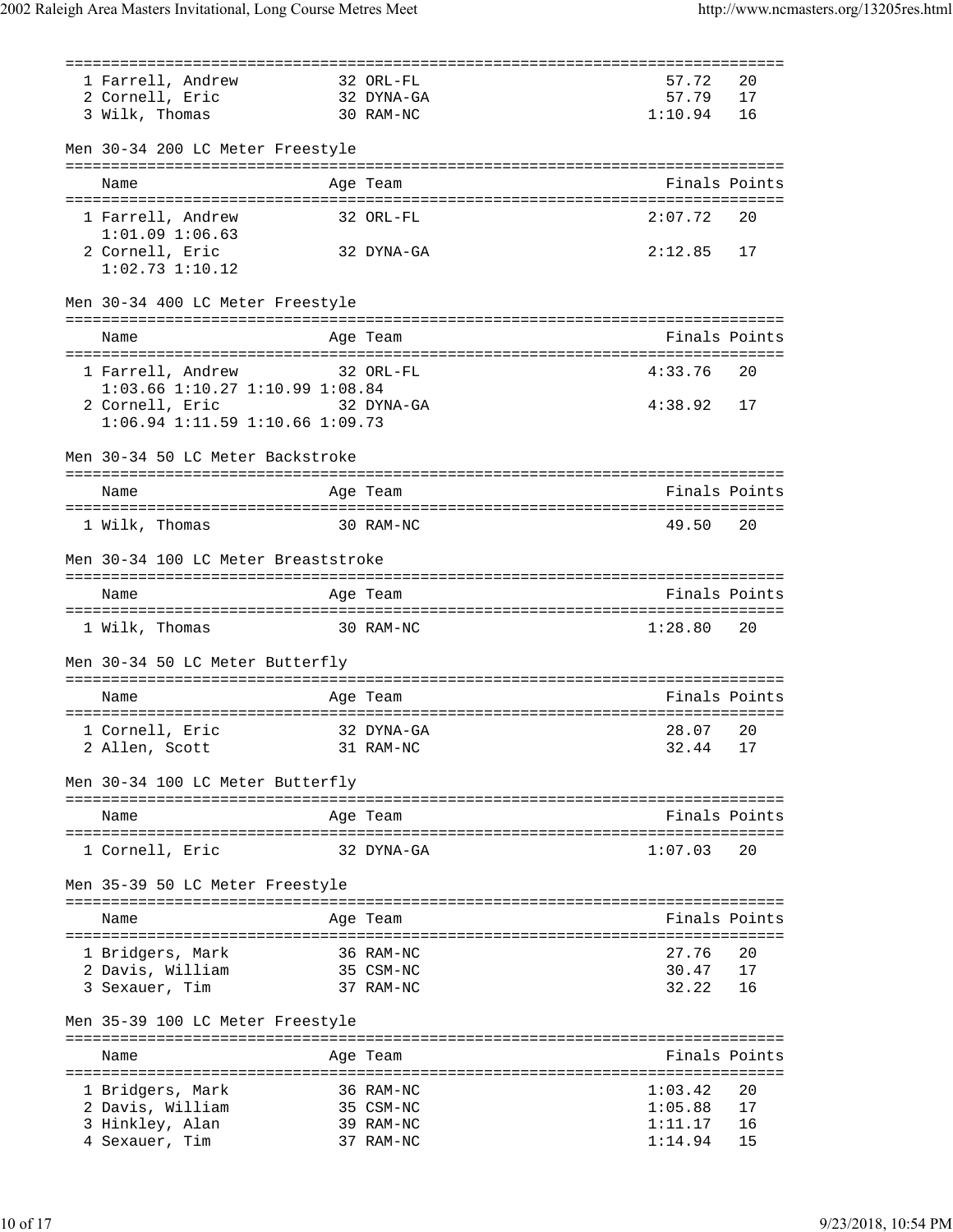|                                        | ==================================== |         |               |
|----------------------------------------|--------------------------------------|---------|---------------|
| 1 Farrell, Andrew                      | 32 ORL-FL                            | 57.72   | 20            |
| 2 Cornell, Eric                        | 32 DYNA-GA                           | 57.79   | 17            |
| 3 Wilk, Thomas                         | 30 RAM-NC                            | 1:10.94 | 16            |
|                                        |                                      |         |               |
| Men 30-34 200 LC Meter Freestyle       |                                      |         |               |
| Name                                   | Age Team                             |         | Finals Points |
| 1 Farrell, Andrew                      | 32 ORL-FL                            | 2:07.72 | 20            |
| $1:01.09$ $1:06.63$                    |                                      |         |               |
| 2 Cornell, Eric<br>$1:02.73$ $1:10.12$ | 32 DYNA-GA                           | 2:12.85 | 17            |
| Men 30-34 400 LC Meter Freestyle       |                                      |         |               |
| Name                                   | Age Team                             |         | Finals Points |
|                                        |                                      | 4:33.76 | 20            |
| 1 Farrell, Andrew                      | 32 ORL-FL                            |         |               |
| 1:03.66 1:10.27 1:10.99 1:08.84        |                                      |         |               |
| 2 Cornell, Eric<br>32 DYNA-GA          |                                      | 4:38.92 | 17            |
| $1:06.94$ 1:11.59 1:10.66 1:09.73      |                                      |         |               |
| Men 30-34 50 LC Meter Backstroke       |                                      |         |               |
|                                        |                                      |         |               |
| Name                                   | Age Team                             |         | Finals Points |
|                                        |                                      |         |               |
| 1 Wilk, Thomas                         | 30 RAM-NC                            | 49.50   | 20            |
| Men 30-34 100 LC Meter Breaststroke    |                                      |         |               |
| Name                                   | Age Team                             |         | Finals Points |
| 1 Wilk, Thomas                         | 30 RAM-NC                            | 1:28.80 | 20            |
| Men 30-34 50 LC Meter Butterfly        |                                      |         |               |
|                                        |                                      |         |               |
| Name                                   | Age Team                             |         | Finals Points |
| 1 Cornell, Eric                        | 32 DYNA-GA                           | 28.07   | 20            |
| 2 Allen, Scott                         | 31 RAM-NC                            | 32.44   | 17            |
|                                        |                                      |         |               |
| Men 30-34 100 LC Meter Butterfly       | --------------------------           |         |               |
| Name                                   | Age Team                             |         | Finals Points |
| 1 Cornell, Eric                        | 32 DYNA-GA                           | 1:07.03 | 20            |
| Men 35-39 50 LC Meter Freestyle        |                                      |         |               |
|                                        |                                      |         |               |
| Name                                   | Age Team                             |         | Finals Points |
|                                        |                                      |         |               |
| 1 Bridgers, Mark                       | 36 RAM-NC                            | 27.76   | 20            |
| 2 Davis, William                       | 35 CSM-NC                            | 30.47   | 17            |
| 3 Sexauer, Tim                         | 37 RAM-NC                            | 32.22   | 16            |
| Men 35-39 100 LC Meter Freestyle       |                                      |         |               |
|                                        |                                      |         |               |
| Name                                   | Age Team                             |         | Finals Points |
|                                        |                                      |         |               |
| 1 Bridgers, Mark                       | 36 RAM-NC                            | 1:03.42 | 20            |
| 2 Davis, William                       | 35 CSM-NC                            | 1:05.88 | 17            |
| 3 Hinkley, Alan                        | 39 RAM-NC                            | 1:11.17 | 16            |
| 4 Sexauer, Tim                         | 37 RAM-NC                            | 1:14.94 | 15            |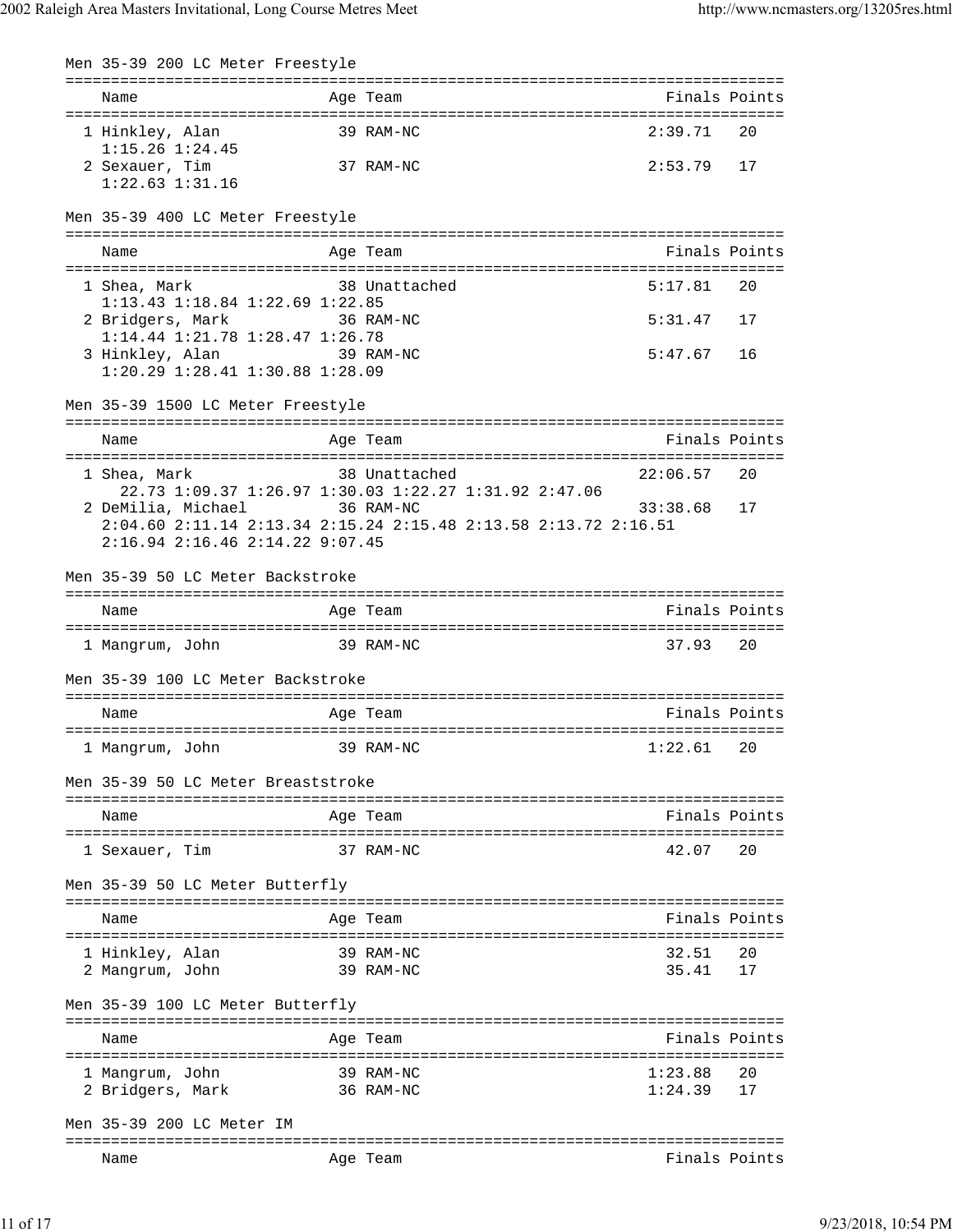| Men 35-39 200 LC Meter Freestyle                                            |            |                                  |                                        |               |
|-----------------------------------------------------------------------------|------------|----------------------------------|----------------------------------------|---------------|
| Name                                                                        |            | Age Team                         |                                        | Finals Points |
| 1 Hinkley, Alan<br>$1:15.26$ $1:24.45$                                      |            | 39 RAM-NC                        | 2:39.71                                | 20            |
| 2 Sexauer, Tim<br>$1:22.63$ $1:31.16$                                       |            | 37 RAM-NC                        | 2:53.79                                | 17            |
| Men 35-39 400 LC Meter Freestyle                                            |            |                                  |                                        |               |
| Name                                                                        |            | Age Team                         |                                        | Finals Points |
|                                                                             |            |                                  |                                        |               |
| 1 Shea, Mark<br>$1:13.43$ $1:18.84$ $1:22.69$ $1:22.85$                     |            | 38 Unattached                    | 5:17.81                                | 20            |
| 2 Bridgers, Mark<br>36 RAM-NC                                               |            |                                  | 5:31.47                                | 17            |
| 1:14.44 1:21.78 1:28.47 1:26.78                                             |            |                                  |                                        |               |
| 3 Hinkley, Alan 39 RAM-NC                                                   |            |                                  | 5:47.67                                | 16            |
| 1:20.29 1:28.41 1:30.88 1:28.09                                             |            |                                  |                                        |               |
| Men 35-39 1500 LC Meter Freestyle                                           |            |                                  |                                        |               |
| Name                                                                        |            | Age Team                         |                                        | Finals Points |
| 1 Shea, Mark                                                                |            | 38 Unattached                    | 22:06.57                               | 20            |
| 22.73 1:09.37 1:26.97 1:30.03 1:22.27 1:31.92 2:47.06<br>2 DeMilia, Michael |            | 36 RAM-NC                        | 33:38.68                               | 17            |
| 2:04.60 2:11.14 2:13.34 2:15.24 2:15.48 2:13.58 2:13.72 2:16.51             |            |                                  |                                        |               |
| 2:16.94 2:16.46 2:14.22 9:07.45                                             |            |                                  |                                        |               |
| Men 35-39 50 LC Meter Backstroke                                            |            |                                  |                                        |               |
| Name                                                                        |            | Age Team                         |                                        | Finals Points |
|                                                                             |            |                                  |                                        |               |
| 1 Mangrum, John                                                             |            | 39 RAM-NC                        | 37.93                                  | 20            |
| Men 35-39 100 LC Meter Backstroke                                           |            |                                  |                                        |               |
| Name                                                                        |            | Age Team                         |                                        | Finals Points |
| 1 Mangrum, John                                                             |            | 39 RAM-NC                        | 1:22.61                                | 20            |
| Men 35-39 50 LC Meter Breaststroke                                          |            | ================================ |                                        |               |
| Name<br>-------------------                                                 |            | Age Team                         | -------------------------------------  | Finals Points |
| 1 Sexauer, Tim                                                              |            | 37 RAM-NC                        | 42.07                                  | 20            |
| Men 35-39 50 LC Meter Butterfly                                             |            |                                  |                                        |               |
| Name                                                                        |            | Age Team                         |                                        | Finals Points |
|                                                                             |            |                                  |                                        |               |
| 1 Hinkley, Alan<br>2 Mangrum, John                                          |            | 39 RAM-NC<br>39 RAM-NC           | 32.51<br>35.41                         | 20<br>17      |
| Men 35-39 100 LC Meter Butterfly                                            |            |                                  |                                        |               |
| Name                                                                        |            | --------<br>Aqe Team             |                                        | Finals Points |
|                                                                             | ========== |                                  | ----------------------                 |               |
| 1 Mangrum, John<br>2 Bridgers, Mark                                         |            | 39 RAM-NC<br>36 RAM-NC           | 1:23.88<br>1:24.39                     | 20<br>17      |
| Men 35-39 200 LC Meter IM                                                   |            |                                  | ====================================== |               |
| Name                                                                        |            | Age Team                         |                                        | Finals Points |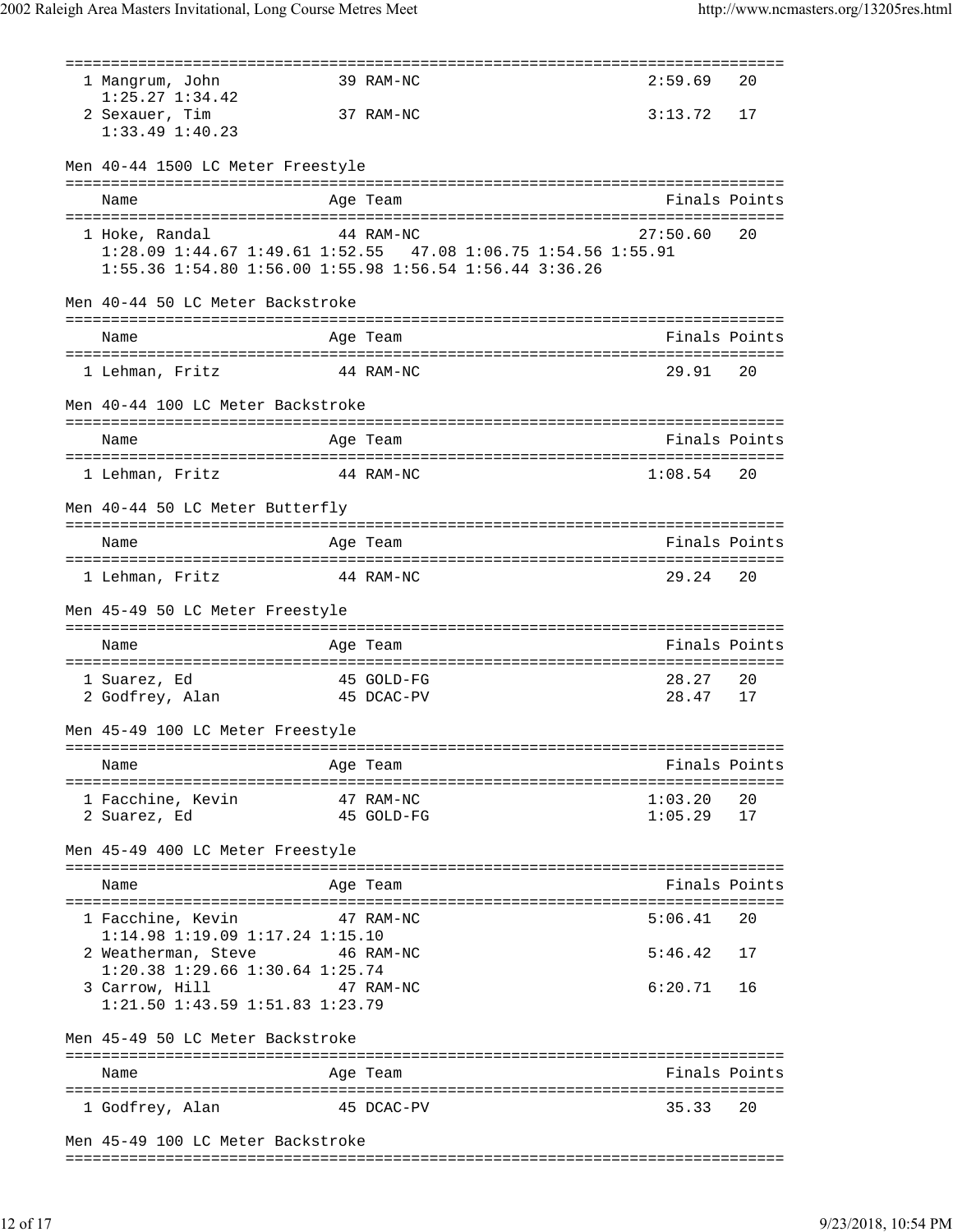| 1 Mangrum, John<br>$1:25.27$ $1:34.42$ | 39 RAM-NC                                                                                                                | 2:59.69  | 20            |
|----------------------------------------|--------------------------------------------------------------------------------------------------------------------------|----------|---------------|
| 2 Sexauer, Tim<br>$1:33.49$ $1:40.23$  | 37 RAM-NC                                                                                                                | 3:13.72  | 17            |
| Men 40-44 1500 LC Meter Freestyle      |                                                                                                                          |          |               |
| Name                                   | Age Team                                                                                                                 |          | Finals Points |
|                                        |                                                                                                                          |          |               |
| 1 Hoke, Randal                         | 44 RAM-NC                                                                                                                | 27:50.60 | 20            |
|                                        |                                                                                                                          |          |               |
|                                        | 1:28.09 1:44.67 1:49.61 1:52.55 47.08 1:06.75 1:54.56 1:55.91<br>1:55.36 1:54.80 1:56.00 1:55.98 1:56.54 1:56.44 3:36.26 |          |               |
| Men 40-44 50 LC Meter Backstroke       |                                                                                                                          |          |               |
|                                        |                                                                                                                          |          | Finals Points |
| Name                                   | Age Team                                                                                                                 |          |               |
| 1 Lehman, Fritz                        | 44 RAM-NC                                                                                                                | 29.91    | 20            |
| Men 40-44 100 LC Meter Backstroke      |                                                                                                                          |          |               |
|                                        |                                                                                                                          |          |               |
| Name                                   | Age Team                                                                                                                 |          | Finals Points |
| 1 Lehman, Fritz                        | 44 RAM-NC                                                                                                                | 1:08.54  | 20            |
|                                        |                                                                                                                          |          |               |
| Men 40-44 50 LC Meter Butterfly        |                                                                                                                          |          |               |
| Name                                   | Age Team                                                                                                                 |          | Finals Points |
|                                        |                                                                                                                          |          |               |
| 1 Lehman, Fritz<br>44 RAM-NC           |                                                                                                                          | 29.24    | 20            |
| Men 45-49 50 LC Meter Freestyle        |                                                                                                                          |          |               |
| Name                                   | Age Team                                                                                                                 |          | Finals Points |
| 1 Suarez, Ed                           | 45 GOLD-FG                                                                                                               | 28.27    | 20            |
| 2 Godfrey, Alan 15 Somb Po             |                                                                                                                          | 28.47    | 17            |
|                                        |                                                                                                                          |          |               |
| Men 45-49 100 LC Meter Freestyle       |                                                                                                                          |          |               |
|                                        |                                                                                                                          |          |               |
| Name                                   | Age Team                                                                                                                 |          | Finals Points |
| 1 Facchine, Kevin                      | 47 RAM-NC                                                                                                                | 1:03.20  | 20            |
| 2 Suarez, Ed                           | 45 GOLD-FG                                                                                                               | 1:05.29  | 17            |
|                                        |                                                                                                                          |          |               |
| Men 45-49 400 LC Meter Freestyle       |                                                                                                                          |          |               |
| Name                                   | Age Team                                                                                                                 |          | Finals Points |
| 1 Facchine, Kevin                      | 47 RAM-NC                                                                                                                | 5:06.41  | 20            |
| 1:14.98 1:19.09 1:17.24 1:15.10        |                                                                                                                          |          |               |
| 2 Weatherman, Steve                    | 46 RAM-NC                                                                                                                | 5:46.42  | 17            |
| 1:20.38 1:29.66 1:30.64 1:25.74        |                                                                                                                          |          |               |
| 3 Carrow, Hill                         | 47 RAM-NC                                                                                                                | 6:20.71  | 16            |
| 1:21.50 1:43.59 1:51.83 1:23.79        |                                                                                                                          |          |               |
| Men 45-49 50 LC Meter Backstroke       |                                                                                                                          |          |               |
| Name                                   | Age Team                                                                                                                 |          | Finals Points |
|                                        |                                                                                                                          |          |               |
| 1 Godfrey, Alan                        | 45 DCAC-PV                                                                                                               | 35.33    | 20            |
| Men 45-49 100 LC Meter Backstroke      |                                                                                                                          |          |               |

===============================================================================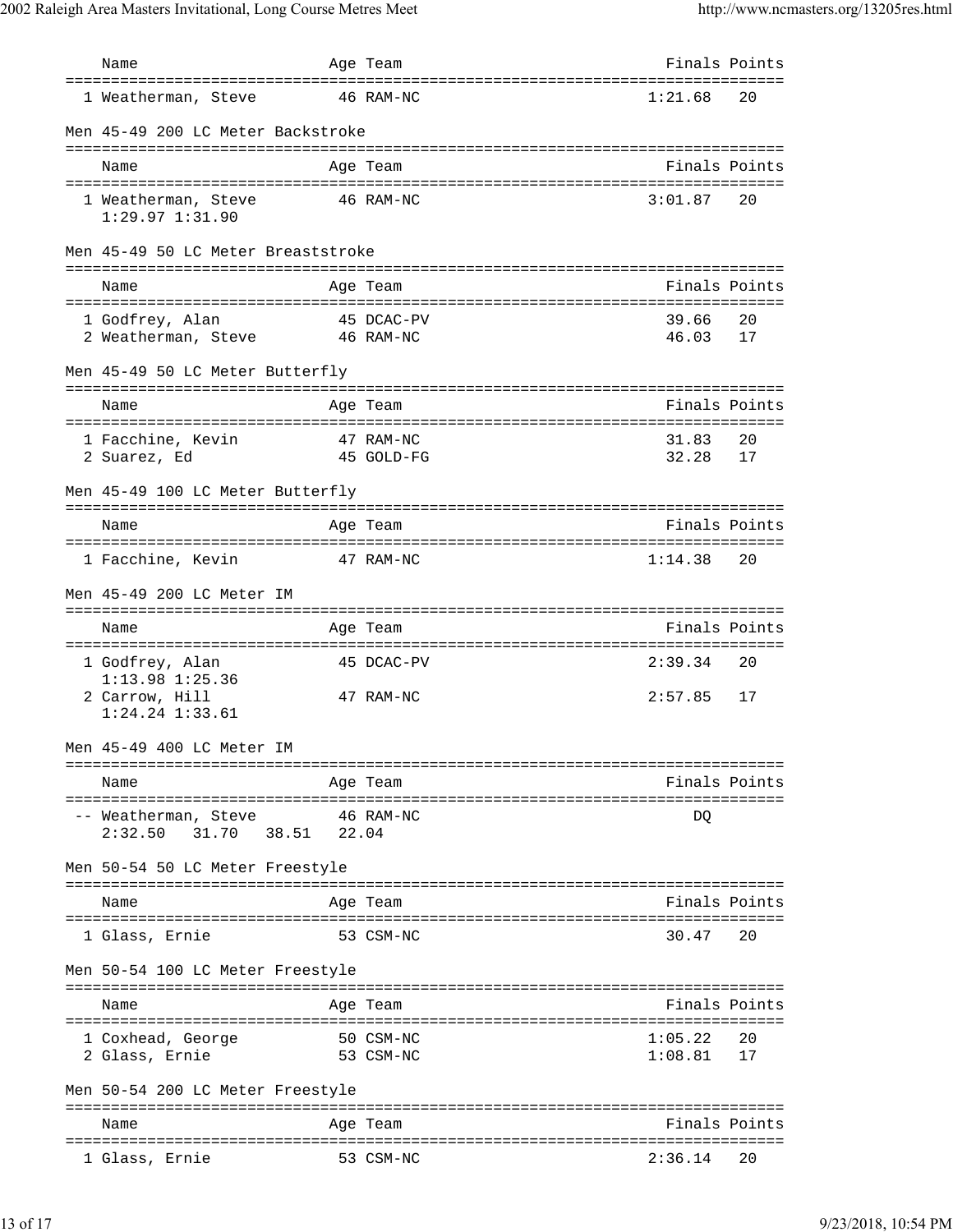| Name                                                         | Age Team                                     |                     | Finals Points |
|--------------------------------------------------------------|----------------------------------------------|---------------------|---------------|
| 1 Weatherman, Steve                                          | 46 RAM-NC                                    | 1:21.68             | 20            |
| Men 45-49 200 LC Meter Backstroke                            |                                              |                     |               |
| Name                                                         | Age Team                                     |                     | Finals Points |
| 1 Weatherman, Steve<br>$1:29.97$ $1:31.90$                   | 46 RAM-NC                                    | 3:01.87             | 20            |
| Men 45-49 50 LC Meter Breaststroke                           |                                              |                     |               |
| Name                                                         | Age Team                                     |                     | Finals Points |
| 1 Godfrey, Alan<br>2 Weatherman, Steve                       | 45 DCAC-PV<br>46 RAM-NC                      | 39.66<br>46.03      | 20<br>17      |
| Men 45-49 50 LC Meter Butterfly                              |                                              |                     |               |
| Name                                                         | Age Team                                     |                     | Finals Points |
| 1 Facchine, Kevin<br>2 Suarez, Ed                            | 47 RAM-NC<br>45 GOLD-FG                      | 31.83<br>32.28      | 20<br>17      |
| Men 45-49 100 LC Meter Butterfly                             |                                              |                     |               |
| Name                                                         | Age Team                                     |                     | Finals Points |
| 1 Facchine, Kevin                                            | 47 RAM-NC                                    | 1:14.38             | 20            |
| Men 45-49 200 LC Meter IM                                    |                                              |                     |               |
| Name                                                         | Age Team                                     |                     | Finals Points |
| 1 Godfrey, Alan                                              | ==============================<br>45 DCAC-PV | 2:39.34             | 20            |
| $1:13.98$ $1:25.36$<br>2 Carrow, Hill<br>$1:24.24$ $1:33.61$ | 47 RAM-NC                                    | 2:57.85             | 17            |
| 45-49 400 LC Meter IM                                        |                                              |                     |               |
| Name                                                         | Age Team                                     |                     | Finals Points |
| -- Weatherman, Steve<br>2:32.50<br>31.70 38.51 22.04         | 46 RAM-NC                                    | DO                  |               |
| Men 50-54 50 LC Meter Freestyle                              |                                              |                     |               |
| Name                                                         | --------------------------------<br>Age Team |                     | Finals Points |
| 1 Glass, Ernie                                               | 53 CSM-NC                                    | 30.47               | 20            |
| Men 50-54 100 LC Meter Freestyle                             |                                              |                     |               |
| Name                                                         | Age Team                                     |                     | Finals Points |
| 1 Coxhead, George<br>2 Glass, Ernie                          | 50 CSM-NC<br>53 CSM-NC                       | 1:05.22<br>1:08.81  | 20<br>17      |
| Men 50-54 200 LC Meter Freestyle                             |                                              |                     |               |
| Name                                                         | Age Team<br>===========                      | :================== | Finals Points |
| 1 Glass, Ernie                                               | 53 CSM-NC                                    | 2:36.14             | 20            |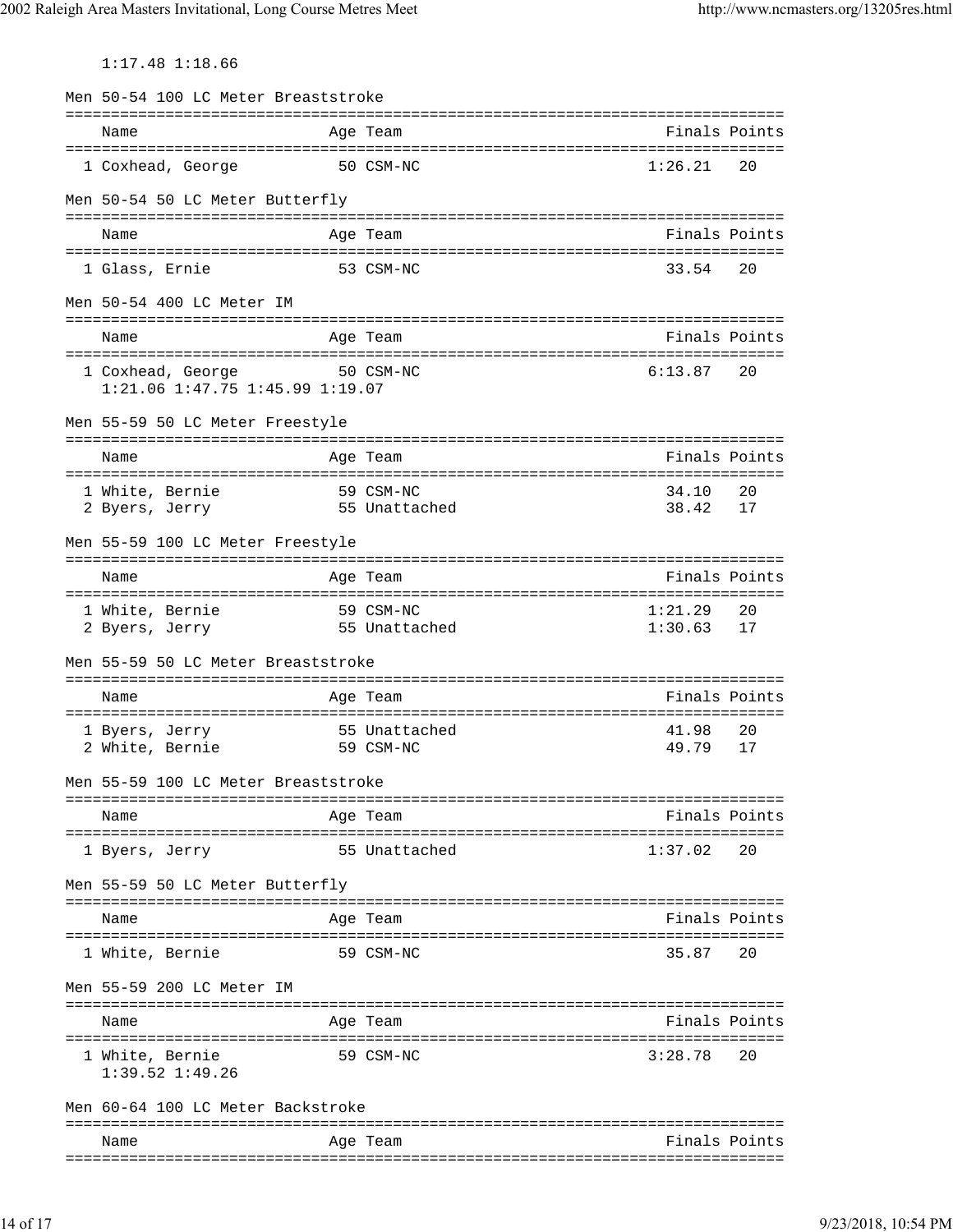1:17.48 1:18.66

| Men 50-54 100 LC Meter Breaststroke                               |                                        |                    |               |
|-------------------------------------------------------------------|----------------------------------------|--------------------|---------------|
| Name                                                              | Age Team                               |                    | Finals Points |
| 1 Coxhead, George                                                 | 50 CSM-NC                              | 1:26.21            | 20            |
| Men 50-54 50 LC Meter Butterfly                                   |                                        |                    |               |
| Name                                                              | Age Team                               |                    | Finals Points |
| 1 Glass, Ernie                                                    | 53 CSM-NC                              | 33.54              | 20            |
| Men 50-54 400 LC Meter IM                                         |                                        |                    |               |
| Name                                                              | Age Team                               |                    | Finals Points |
| 1 Coxhead, George<br>50 CSM-NC<br>1:21.06 1:47.75 1:45.99 1:19.07 |                                        | 6:13.87            | 20            |
| Men 55-59 50 LC Meter Freestyle                                   |                                        |                    |               |
| Name                                                              | Age Team                               |                    | Finals Points |
| 1 White, Bernie                                                   | 59 CSM-NC                              | 34.10              | 20            |
| 2 Byers, Jerry                                                    | 55 Unattached                          | 38.42              | 17            |
| Men 55-59 100 LC Meter Freestyle                                  |                                        |                    |               |
| Name                                                              | Age Team<br>========================== |                    | Finals Points |
| 1 White, Bernie<br>2 Byers, Jerry                                 | 59 CSM-NC<br>55 Unattached             | 1:21.29<br>1:30.63 | 20<br>17      |
| Men 55-59 50 LC Meter Breaststroke                                |                                        |                    |               |
| Name                                                              | Age Team                               |                    | Finals Points |
| 1 Byers, Jerry<br>59 CSM-NC<br>2 White, Bernie                    | 55 Unattached                          | 41.98<br>49.79     | 20<br>17      |
| Men 55-59 100 LC Meter Breaststroke                               |                                        |                    |               |
|                                                                   |                                        |                    |               |
| Name                                                              | Age Team                               |                    | Finals Points |
| 1 Byers, Jerry                                                    | 55 Unattached                          | 1:37.02            | 20            |
| Men 55-59 50 LC Meter Butterfly                                   |                                        |                    |               |
| Name                                                              | Age Team                               |                    | Finals Points |
| 1 White, Bernie                                                   | 59 CSM-NC                              | 35.87              | 20            |
| Men 55-59 200 LC Meter IM                                         |                                        |                    |               |
| Name                                                              | Age Team                               |                    | Finals Points |
| 1 White, Bernie<br>$1:39.52$ $1:49.26$                            | 59 CSM-NC                              | 3:28.78            | 20            |
| Men 60-64 100 LC Meter Backstroke                                 |                                        |                    |               |
| Name                                                              | Age Team                               |                    | Finals Points |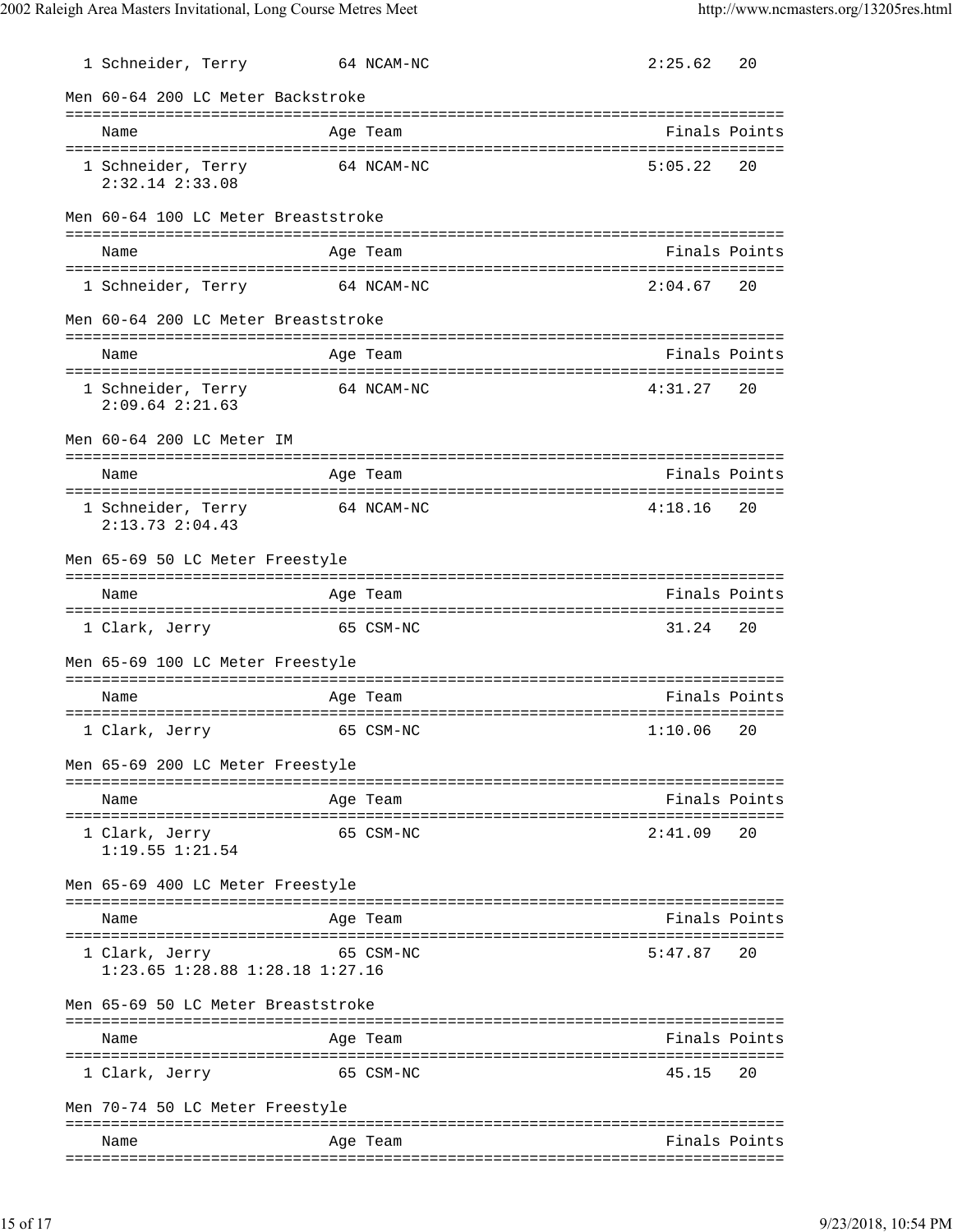| 1 Schneider, Terry                                        |            | 64 NCAM-NC | 2:25.62                                           | 20 |
|-----------------------------------------------------------|------------|------------|---------------------------------------------------|----|
| Men 60-64 200 LC Meter Backstroke                         |            |            |                                                   |    |
| Name                                                      |            | Age Team   | Finals Points                                     |    |
| 1 Schneider, Terry<br>$2:32.14$ $2:33.08$                 |            | 64 NCAM-NC | 5:05.22                                           | 20 |
| Men 60-64 100 LC Meter Breaststroke                       |            |            |                                                   |    |
| Name                                                      |            | Age Team   | Finals Points                                     |    |
| 1 Schneider, Terry                                        | 64 NCAM-NC |            | 2:04.67                                           | 20 |
| Men 60-64 200 LC Meter Breaststroke                       |            |            |                                                   |    |
| Name                                                      |            | Age Team   | Finals Points                                     |    |
| 1 Schneider, Terry<br>$2:09.64$ $2:21.63$                 | 64 NCAM-NC |            | 4:31.27                                           | 20 |
| Men 60-64 200 LC Meter IM                                 |            |            |                                                   |    |
| Name<br>======================================            |            | Age Team   | Finals Points<br>================================ |    |
| 1 Schneider, Terry<br>$2:13.73$ $2:04.43$                 | 64 NCAM-NC |            | 4:18.16                                           | 20 |
| Men 65-69 50 LC Meter Freestyle                           |            |            |                                                   |    |
| Name                                                      |            | Age Team   | Finals Points                                     |    |
| 1 Clark, Jerry                                            |            | 65 CSM-NC  | 31.24                                             | 20 |
| Men 65-69 100 LC Meter Freestyle                          |            |            |                                                   |    |
| Name                                                      |            | Age Team   | Finals Points                                     |    |
| 1 Clark, Jerry                                            |            | 65 CSM-NC  | 1:10.06                                           | 20 |
| Men 65-69 200 LC Meter Freestyle                          |            |            |                                                   |    |
| Name                                                      |            | Age Team   | Finals Points                                     |    |
| 1 Clark, Jerry<br>$1:19.55$ $1:21.54$                     |            | 65 CSM-NC  | 2:41.09                                           | 20 |
| Men 65-69 400 LC Meter Freestyle                          |            |            |                                                   |    |
| Name                                                      |            | Age Team   | Finals Points                                     |    |
| 1 Clark, Jerry<br>$1:23.65$ $1:28.88$ $1:28.18$ $1:27.16$ |            | 65 CSM-NC  | 5:47.87                                           | 20 |
| Men 65-69 50 LC Meter Breaststroke                        |            |            |                                                   |    |
| Name                                                      |            | Age Team   | Finals Points                                     |    |
| 1 Clark, Jerry                                            |            | 65 CSM-NC  | 45.15                                             | 20 |
| Men 70-74 50 LC Meter Freestyle                           |            |            |                                                   |    |
| Name                                                      |            | Age Team   | Finals Points                                     |    |
|                                                           |            |            |                                                   |    |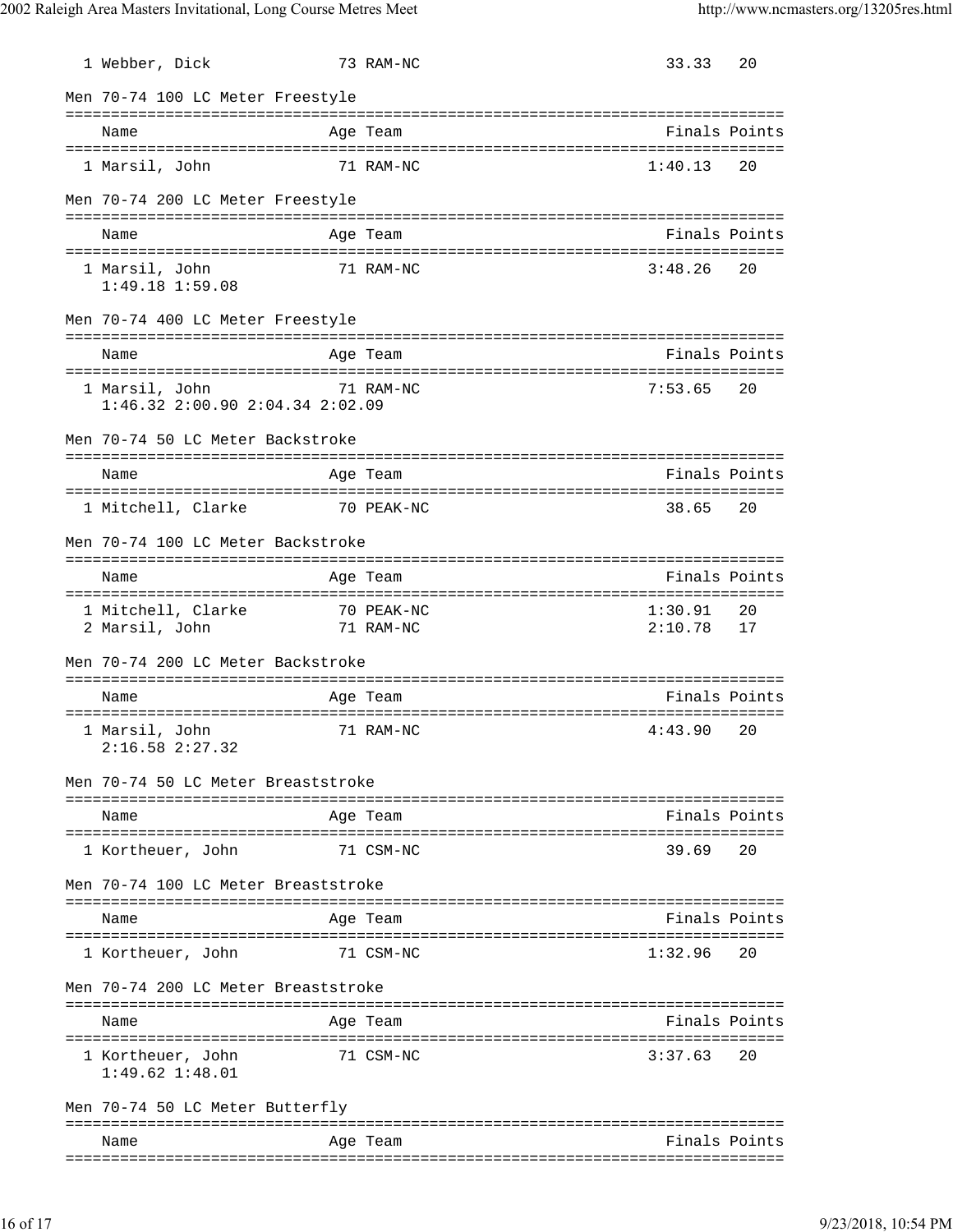| 1 Webber, Dick                                            |            | 73 RAM-NC  | 33.33              | 20            |
|-----------------------------------------------------------|------------|------------|--------------------|---------------|
| Men 70-74 100 LC Meter Freestyle                          |            |            |                    |               |
| Name                                                      |            | Age Team   |                    | Finals Points |
| 1 Marsil, John                                            |            | 71 RAM-NC  | 1:40.13            | 20            |
| Men 70-74 200 LC Meter Freestyle                          |            |            |                    |               |
| Name                                                      |            | Age Team   |                    | Finals Points |
| 1 Marsil, John<br>1:49.18 1:59.08                         |            | 71 RAM-NC  | 3:48.26            | 20            |
| Men 70-74 400 LC Meter Freestyle                          |            |            |                    |               |
| Name                                                      |            | Age Team   |                    | Finals Points |
| 1 Marsil, John<br>$1:46.32$ $2:00.90$ $2:04.34$ $2:02.09$ | 71 RAM-NC  |            | 7:53.65            | 20            |
| Men 70-74 50 LC Meter Backstroke                          |            |            |                    |               |
| Name                                                      |            | Age Team   |                    | Finals Points |
| 1 Mitchell, Clarke                                        | 70 PEAK-NC |            | 38.65              | 20            |
| Men 70-74 100 LC Meter Backstroke                         |            |            |                    |               |
| Name                                                      |            | Age Team   |                    | Finals Points |
| 1 Mitchell, Clarke<br>2 Marsil, John                      | 71 RAM-NC  | 70 PEAK-NC | 1:30.91<br>2:10.78 | 20<br>17      |
| Men 70-74 200 LC Meter Backstroke                         |            |            |                    |               |
| Name                                                      |            | Age Team   |                    | Finals Points |
| 1 Marsil, John<br>2:16.58 2:27.32                         |            | 71 RAM-NC  | 4:43.90            | 20            |
| Men 70-74 50 LC Meter Breaststroke                        |            |            |                    |               |
| Name                                                      |            | Age Team   | --------           | Finals Points |
| 1 Kortheuer, John                                         |            | 71 CSM-NC  | 39.69              | 20            |
| Men 70-74 100 LC Meter Breaststroke                       |            |            |                    |               |
| Name                                                      |            | Age Team   |                    | Finals Points |
| 1 Kortheuer, John                                         |            | 71 CSM-NC  | 1:32.96            | 20            |
| Men 70-74 200 LC Meter Breaststroke                       |            |            |                    |               |
| Name                                                      |            | Age Team   |                    | Finals Points |
| 1 Kortheuer, John<br>$1:49.62$ $1:48.01$                  |            | 71 CSM-NC  | 3:37.63            | 20            |
| Men 70-74 50 LC Meter Butterfly                           |            |            |                    |               |
| Name                                                      |            | Age Team   |                    | Finals Points |
|                                                           |            |            |                    |               |